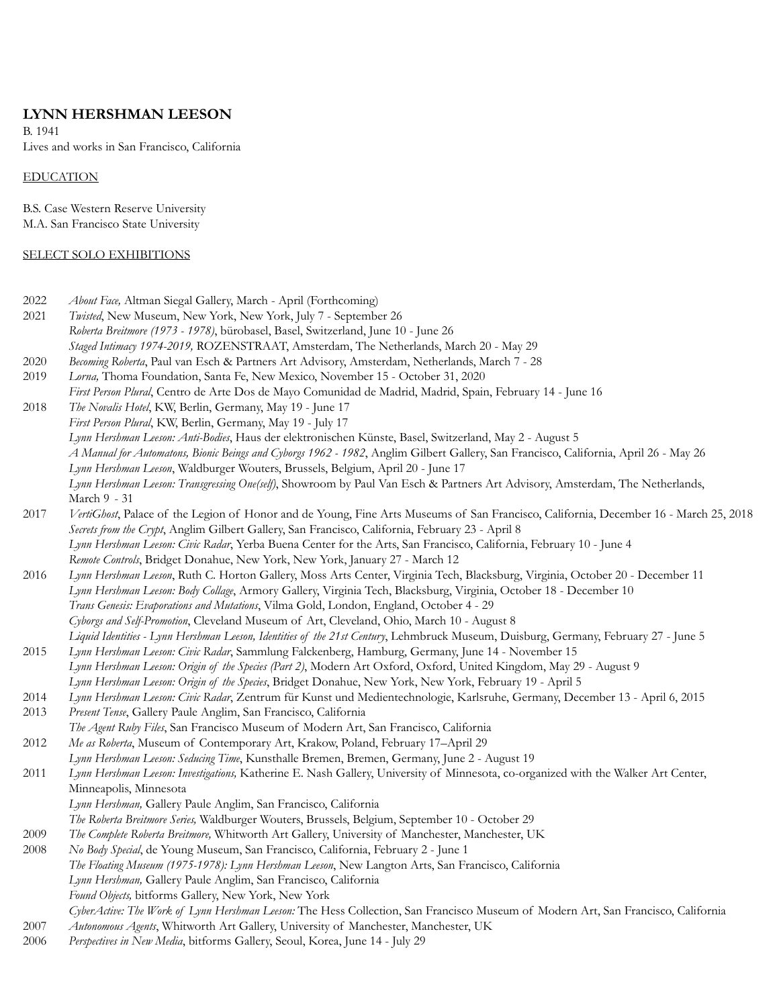# **LYNN HERSHMAN LEESON**

B. 1941 Lives and works in San Francisco, California

## EDUCATION

B.S. Case Western Reserve University M.A. San Francisco State University

## SELECT SOLO EXHIBITIONS

| 2022 | About Face, Altman Siegal Gallery, March - April (Forthcoming)                                                                       |
|------|--------------------------------------------------------------------------------------------------------------------------------------|
| 2021 | Twisted, New Museum, New York, New York, July 7 - September 26                                                                       |
|      | Roberta Breitmore (1973 - 1978), bürobasel, Basel, Switzerland, June 10 - June 26                                                    |
|      | Staged Intimacy 1974-2019, ROZENSTRAAT, Amsterdam, The Netherlands, March 20 - May 29                                                |
| 2020 | Becoming Roberta, Paul van Esch & Partners Art Advisory, Amsterdam, Netherlands, March 7 - 28                                        |
| 2019 | Lorna, Thoma Foundation, Santa Fe, New Mexico, November 15 - October 31, 2020                                                        |
|      | First Person Plural, Centro de Arte Dos de Mayo Comunidad de Madrid, Madrid, Spain, February 14 - June 16                            |
| 2018 | The Novalis Hotel, KW, Berlin, Germany, May 19 - June 17                                                                             |
|      | First Person Plural, KW, Berlin, Germany, May 19 - July 17                                                                           |
|      | Lynn Hershman Leeson: Anti-Bodies, Haus der elektronischen Künste, Basel, Switzerland, May 2 - August 5                              |
|      | A Manual for Automatons, Bionic Beings and Cyborgs 1962 - 1982, Anglim Gilbert Gallery, San Francisco, California, April 26 - May 26 |
|      | Lynn Hershman Leeson, Waldburger Wouters, Brussels, Belgium, April 20 - June 17                                                      |
|      | Lynn Hershman Leeson: Transgressing One(self), Showroom by Paul Van Esch & Partners Art Advisory, Amsterdam, The Netherlands,        |
|      | March 9 - 31                                                                                                                         |
| 2017 | VertiGhost, Palace of the Legion of Honor and de Young, Fine Arts Museums of San Francisco, California, December 16 - March 25, 2018 |
|      | Secrets from the Crypt, Anglim Gilbert Gallery, San Francisco, California, February 23 - April 8                                     |
|      | Lynn Hershman Leeson: Civic Radar, Yerba Buena Center for the Arts, San Francisco, California, February 10 - June 4                  |
|      | Remote Controls, Bridget Donahue, New York, New York, January 27 - March 12                                                          |
| 2016 | Lynn Hershman Leeson, Ruth C. Horton Gallery, Moss Arts Center, Virginia Tech, Blacksburg, Virginia, October 20 - December 11        |
|      | Lynn Hershman Leeson: Body Collage, Armory Gallery, Virginia Tech, Blacksburg, Virginia, October 18 - December 10                    |
|      | Trans Genesis: Evaporations and Mutations, Vilma Gold, London, England, October 4 - 29                                               |
|      | Cyborgs and Self-Promotion, Cleveland Museum of Art, Cleveland, Ohio, March 10 - August 8                                            |
|      | Liquid Identities - Lynn Hershman Leeson, Identities of the 21st Century, Lehmbruck Museum, Duisburg, Germany, February 27 - June 5  |
| 2015 | Lynn Hershman Leeson: Civic Radar, Sammlung Falckenberg, Hamburg, Germany, June 14 - November 15                                     |
|      | Lynn Hershman Leeson: Origin of the Species (Part 2), Modern Art Oxford, Oxford, United Kingdom, May 29 - August 9                   |
|      | Lynn Hershman Leeson: Origin of the Species, Bridget Donahue, New York, New York, February 19 - April 5                              |
| 2014 | Lynn Hershman Leeson: Civic Radar, Zentrum für Kunst und Medientechnologie, Karlsruhe, Germany, December 13 - April 6, 2015          |
| 2013 | Present Tense, Gallery Paule Anglim, San Francisco, California                                                                       |
|      | The Agent Ruby Files, San Francisco Museum of Modern Art, San Francisco, California                                                  |
| 2012 | Me as Roberta, Museum of Contemporary Art, Krakow, Poland, February 17-April 29                                                      |
|      | Lynn Hershman Leeson: Seducing Time, Kunsthalle Bremen, Bremen, Germany, June 2 - August 19                                          |
| 2011 | Lynn Hershman Leeson: Investigations, Katherine E. Nash Gallery, University of Minnesota, co-organized with the Walker Art Center,   |
|      | Minneapolis, Minnesota                                                                                                               |
|      | Lynn Hershman, Gallery Paule Anglim, San Francisco, California                                                                       |
|      | The Roberta Breitmore Series, Waldburger Wouters, Brussels, Belgium, September 10 - October 29                                       |
| 2009 | The Complete Roberta Breitmore, Whitworth Art Gallery, University of Manchester, Manchester, UK                                      |
| 2008 | No Body Special, de Young Museum, San Francisco, California, February 2 - June 1                                                     |
|      | The Floating Museum (1975-1978): Lynn Hershman Leeson, New Langton Arts, San Francisco, California                                   |
|      | Lynn Hershman, Gallery Paule Anglim, San Francisco, California                                                                       |
|      | Found Objects, bitforms Gallery, New York, New York                                                                                  |
|      | CyberActive: The Work of Lynn Hershman Leeson: The Hess Collection, San Francisco Museum of Modern Art, San Francisco, California    |
| 2007 | Autonomous Agents, Whitworth Art Gallery, University of Manchester, Manchester, UK                                                   |
| 2006 | Perspectives in New Media, bitforms Gallery, Seoul, Korea, June 14 - July 29                                                         |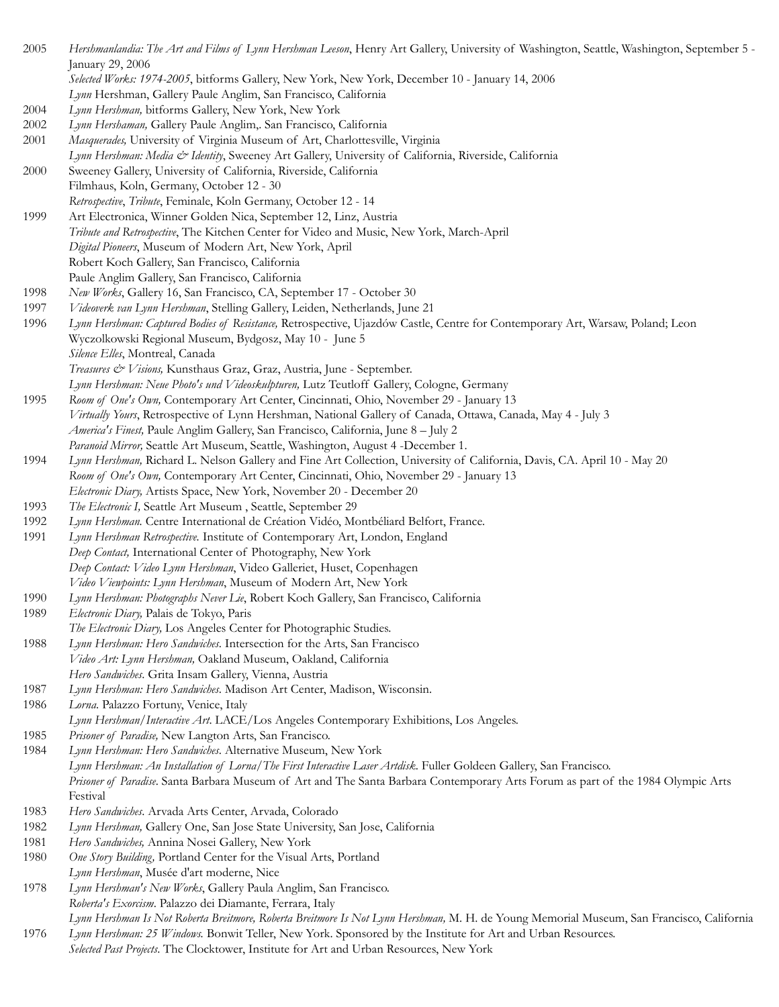2005 *Hershmanlandia: The Art and Films of Lynn Hershman Leeson*, Henry Art Gallery, University of Washington, Seattle, Washington, September 5 - January 29, 2006 *Selected Works: 1974-2005*, bitforms Gallery, New York, New York, December 10 - January 14, 2006 *Lynn* Hershman, Gallery Paule Anglim, San Francisco, California 2004 *Lynn Hershman,* bitforms Gallery, New York, New York 2002 *Lynn Hershaman,* Gallery Paule Anglim,. San Francisco, California 2001 *Masquerades,* University of Virginia Museum of Art, Charlottesville, Virginia *Lynn Hershman: Media & Identity*, Sweeney Art Gallery, University of California, Riverside, California 2000 Sweeney Gallery, University of California, Riverside, California Filmhaus, Koln, Germany, October 12 - 30 *Retrospective*, *Tribute*, Feminale, Koln Germany, October 12 - 14 1999 Art Electronica, Winner Golden Nica, September 12, Linz, Austria *Tribute and Retrospective*, The Kitchen Center for Video and Music, New York, March-April *Digital Pioneers*, Museum of Modern Art, New York, April Robert Koch Gallery, San Francisco, California Paule Anglim Gallery, San Francisco, California 1998 *New Works*, Gallery 16, San Francisco, CA, September 17 - October 30 1997 *Videoverk van Lynn Hershman*, Stelling Gallery, Leiden, Netherlands, June 21 1996 *Lynn Hershman: Captured Bodies of Resistance,* Retrospective, Ujazdów Castle, Centre for Contemporary Art, Warsaw, Poland; Leon Wyczolkowski Regional Museum, Bydgosz, May 10 - June 5 *Silence Elles*, Montreal, Canada *Treasures & Visions,* Kunsthaus Graz, Graz, Austria, June - September. *Lynn Hershman: Neue Photo's und Videoskulpturen,* Lutz Teutloff Gallery, Cologne, Germany 1995 *Room of One's Own,* Contemporary Art Center, Cincinnati, Ohio, November 29 - January 13 *Virtually Yours*, Retrospective of Lynn Hershman, National Gallery of Canada, Ottawa, Canada, May 4 - July 3 *America's Finest,* Paule Anglim Gallery, San Francisco, California, June 8 – July 2 *Paranoid Mirror,* Seattle Art Museum, Seattle, Washington, August 4 -December 1. 1994 *Lynn Hershman,* Richard L. Nelson Gallery and Fine Art Collection, University of California, Davis, CA. April 10 - May 20 *Room of One's Own,* Contemporary Art Center, Cincinnati, Ohio, November 29 - January 13 *Electronic Diary,* Artists Space, New York, November 20 - December 20 1993 *The Electronic I,* Seattle Art Museum , Seattle, September 29 1992 *Lynn Hershman.* Centre International de Création Vidéo, Montbéliard Belfort, France. 1991 *Lynn Hershman Retrospective.* Institute of Contemporary Art, London, England *Deep Contact,* International Center of Photography, New York *Deep Contact: Video Lynn Hershman*, Video Galleriet, Huset, Copenhagen *Video Viewpoints: Lynn Hershman*, Museum of Modern Art, New York 1990 *Lynn Hershman: Photographs Never Lie*, Robert Koch Gallery, San Francisco, California 1989 *Electronic Diary,* Palais de Tokyo, Paris *The Electronic Diary,* Los Angeles Center for Photographic Studies. 1988 *Lynn Hershman: Hero Sandwiches*. Intersection for the Arts, San Francisco *Video Art: Lynn Hershman,* Oakland Museum, Oakland, California *Hero Sandwiches*. Grita Insam Gallery, Vienna, Austria 1987 *Lynn Hershman: Hero Sandwiches*. Madison Art Center, Madison, Wisconsin. 1986 *Lorna*. Palazzo Fortuny, Venice, Italy *Lynn Hershman/Interactive Art*. LACE/Los Angeles Contemporary Exhibitions, Los Angeles. 1985 *Prisoner of Paradise,* New Langton Arts, San Francisco. 1984 *Lynn Hershman: Hero Sandwiches*. Alternative Museum, New York *Lynn Hershman: An Installation of Lorna/The First Interactive Laser Artdisk*. Fuller Goldeen Gallery, San Francisco. *Prisoner of Paradise*. Santa Barbara Museum of Art and The Santa Barbara Contemporary Arts Forum as part of the 1984 Olympic Arts Festival 1983 *Hero Sandwiches*. Arvada Arts Center, Arvada, Colorado 1982 *Lynn Hershman,* Gallery One, San Jose State University, San Jose, California 1981 *Hero Sandwiches,* Annina Nosei Gallery, New York 1980 *One Story Building,* Portland Center for the Visual Arts, Portland *Lynn Hershman*, Musée d'art moderne, Nice 1978 *Lynn Hershman's New Works*, Gallery Paula Anglim, San Francisco. *Roberta's Exorcism*. Palazzo dei Diamante, Ferrara, Italy *Lynn Hershman Is Not Roberta Breitmore, Roberta Breitmore Is Not Lynn Hershman,* M. H. de Young Memorial Museum, San Francisco, California 1976 *Lynn Hershman: 25 Windows.* Bonwit Teller, New York. Sponsored by the Institute for Art and Urban Resources. *Selected Past Projects*. The Clocktower, Institute for Art and Urban Resources, New York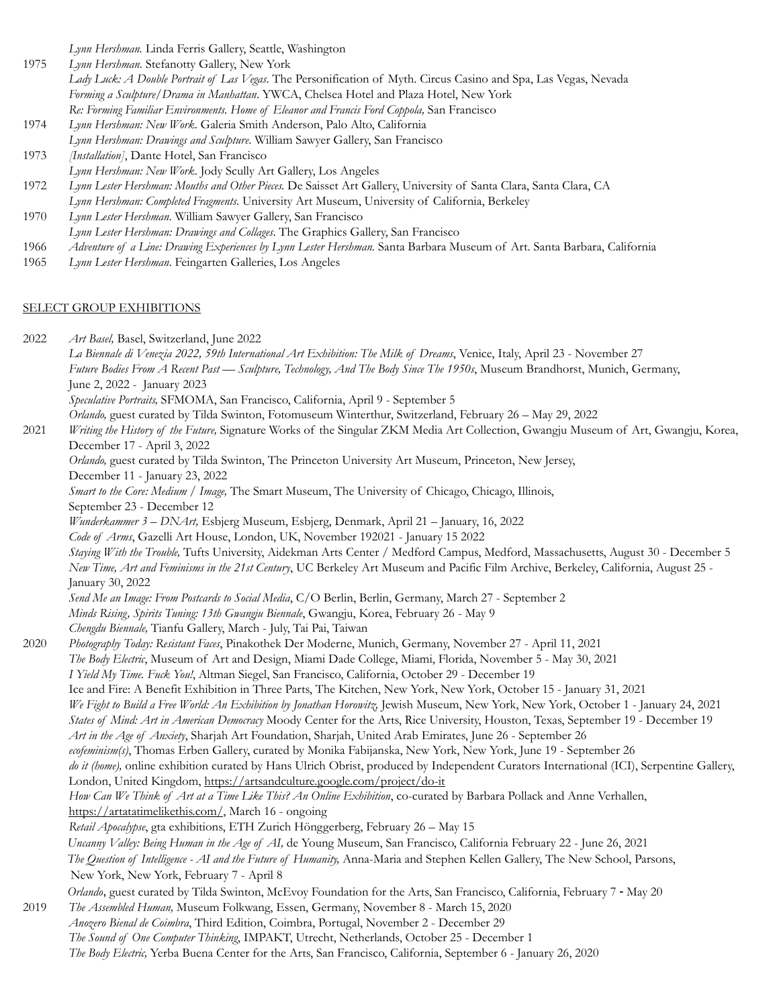*Lynn Hershman.* Linda Ferris Gallery, Seattle, Washington

- 1975 *Lynn Hershman*. Stefanotty Gallery, New York *Lady Luck: A Double Portrait of Las Vegas*. The Personification of Myth. Circus Casino and Spa, Las Vegas, Nevada *Forming a Sculpture/Drama in Manhattan*. YWCA, Chelsea Hotel and Plaza Hotel, New York *Re: Forming Familiar Environments. Home of Eleanor and Francis Ford Coppola,* San Francisco
- 1974 *Lynn Hershman: New Work*. Galeria Smith Anderson, Palo Alto, California *Lynn Hershman: Drawings and Sculpture*. William Sawyer Gallery, San Francisco
- 1973 *[Installation]*, Dante Hotel, San Francisco
- *Lynn Hershman: New Work*. Jody Scully Art Gallery, Los Angeles
- 1972 *Lynn Lester Hershman: Mouths and Other Pieces.* De Saisset Art Gallery, University of Santa Clara, Santa Clara, CA *Lynn Hershman: Completed Fragments*. University Art Museum, University of California, Berkeley
- 1970 *Lynn Lester Hershman*. William Sawyer Gallery, San Francisco *Lynn Lester Hershman: Drawings and Collages*. The Graphics Gallery, San Francisco
- 1966 *Adventure of a Line: Drawing Experiences by Lynn Lester Hershman.* Santa Barbara Museum of Art. Santa Barbara, California
- 1965 *Lynn Lester Hershman*. Feingarten Galleries, Los Angeles

## SELECT GROUP EXHIBITIONS

2022 *Art Basel,* Basel, Switzerland, June 2022

*La Biennale di Venezia 2022, 59th International Art Exhibition: The Milk of Dreams*, Venice, Italy, April 23 - November 27 *Future Bodies From A Recent Past — Sculpture, Technology, And The Body Since The 1950s*, Museum Brandhorst, Munich, Germany, June 2, 2022 - January 2023 *Speculative Portraits,* SFMOMA, San Francisco, California, April 9 - September 5

- *Orlando,* guest curated by Tilda Swinton, Fotomuseum Winterthur, Switzerland, February 26 May 29, 2022
- 2021 *Writing the History of the Future,* Signature Works of the Singular ZKM Media Art Collection, Gwangju Museum of Art, Gwangju, Korea, December 17 - April 3, 2022

*Orlando,* guest curated by Tilda Swinton, The Princeton University Art Museum, Princeton, New Jersey, December 11 - January 23, 2022

*Smart to the Core: Medium / Image,* The Smart Museum, The University of Chicago, Chicago, Illinois, September 23 - December 12

*Wunderkammer 3 – DNArt,* Esbjerg Museum, Esbjerg, Denmark, April 21 – January, 16, 2022

*Code of Arms*, Gazelli Art House, London, UK, November 192021 - January 15 2022

*Staying With the Trouble,* Tufts University, Aidekman Arts Center / Medford Campus, Medford, Massachusetts, August 30 - December 5 *New Time, Art and Feminisms in the 21st Century*, UC Berkeley Art Museum and Pacific Film Archive, Berkeley, California, August 25 - January 30, 2022

*Send Me an Image: From Postcards to Social Media*, C/O Berlin, Berlin, Germany, March 27 - September 2

*Minds Rising, Spirits Tuning: 13th Gwangju Biennale*, Gwangju, Korea, February 26 - May 9 *Chengdu Biennale,* Tianfu Gallery, March - July, Tai Pai, Taiwan

2020 *Photography Today: Resistant Faces*, Pinakothek Der Moderne, Munich, Germany, November 27 - April 11, 2021

*The Body Electric*, Museum of Art and Design, Miami Dade College, Miami, Florida, November 5 - May 30, 2021

*I Yield My Time. Fuck You!*, Altman Siegel, San Francisco, California, October 29 - December 19

Ice and Fire: A Benefit Exhibition in Three Parts, The Kitchen, New York, New York, October 15 - January 31, 2021

*We Fight to Build a Free World: An Exhibition by Jonathan Horowitz,* Jewish Museum, New York, New York, October 1 - January 24, 2021

*States of Mind: Art in American Democracy* Moody Center for the Arts, Rice University, Houston, Texas, September 19 - December 19

*Art in the Age of Anxiety*, Sharjah Art Foundation, Sharjah, United Arab Emirates, June 26 - September 26

*ecofeminism(s)*, Thomas Erben Gallery, curated by Monika Fabijanska, New York, New York, June 19 - September 26

*do it (home)*, online exhibition curated by Hans Ulrich Obrist, produced by Independent Curators International (ICI), Serpentine Gallery, London, United Kingdom, <https://artsandculture.google.com/project/do-it>

*How Can We Think of Art at a Time Like This? An Online Exhibition*, co-curated by Barbara Pollack and Anne Verhallen, [https://artatatimelikethis.com/,](https://artatatimelikethis.com/) March 16 - ongoing

*Retail Apocalypse*, gta exhibitions, ETH Zurich Hönggerberg, February 26 – May 15

*Uncanny Valley: Being Human in the Age of AI,* de Young Museum, San Francisco, California February 22 - June 26, 2021

 *The Question of Intelligence - AI and the Future of Humanity,* Anna-Maria and Stephen Kellen Gallery, The New School, Parsons, New York, New York, February 7 - April 8

 *Orlando*, guest curated by Tilda Swinton, McEvoy Foundation for the Arts, San Francisco, California, February 7 - May 20 2019 *The Assembled Human,* Museum Folkwang, Essen, Germany, November 8 - March 15, 2020 *Anozero Bienal de Coimbra*, Third Edition, Coimbra, Portugal, November 2 - December 29

*The Sound of One Computer Thinking*, IMPAKT, Utrecht, Netherlands, October 25 - December 1

*The Body Electric,* Yerba Buena Center for the Arts, San Francisco, California, September 6 - January 26, 2020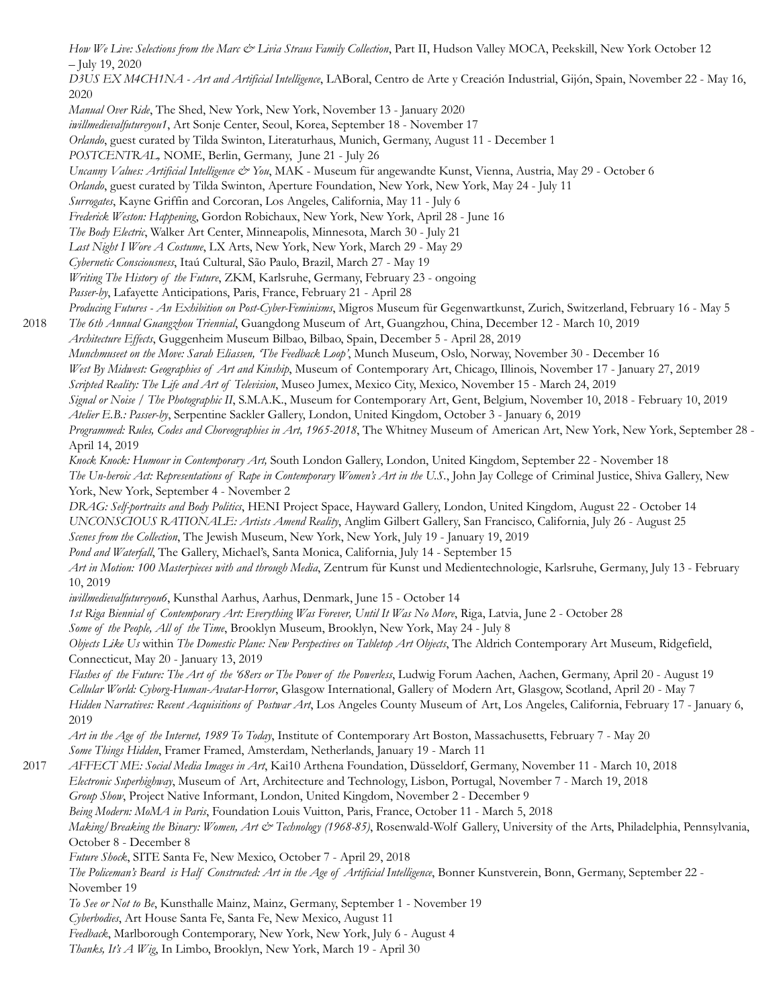How We Live: Selections from the Marc & Livia Straus Family Collection, Part II, Hudson Valley MOCA, Peekskill, New York October 12 – July 19, 2020

*D3US EX M4CH1NA - Art and Artificial Intelligence*, LABoral, Centro de Arte y Creación Industrial, Gijón, Spain, November 22 - May 16, 2020

*Manual Over Ride*, The Shed, New York, New York, November 13 - January 2020

*iwillmedievalfutureyou1*, Art Sonje Center, Seoul, Korea, September 18 - November 17

*Orlando*, guest curated by Tilda Swinton, Literaturhaus, Munich, Germany, August 11 - December 1

*POSTCENTRAL,* NOME, Berlin, Germany, June 21 - July 26

*Uncanny Values: Artificial Intelligence & You*, MAK - Museum für angewandte Kunst, Vienna, Austria, May 29 - October 6

*Orlando*, guest curated by Tilda Swinton, Aperture Foundation, New York, New York, May 24 - July 11

*Surrogates*, Kayne Griffin and Corcoran, Los Angeles, California, May 11 - July 6

*Frederick Weston: Happening*, Gordon Robichaux, New York, New York, April 28 - June 16

*The Body Electric*, Walker Art Center, Minneapolis, Minnesota, March 30 - July 21

*Last Night I Wore A Costume*, LX Arts, New York, New York, March 29 - May 29

*Cybernetic Consciousness*, Itaú Cultural, São Paulo, Brazil, March 27 - May 19

*Writing The History of the Future*, ZKM, Karlsruhe, Germany, February 23 - ongoing

*Passer-by*, Lafayette Anticipations, Paris, France, February 21 - April 28

*Producing Futures - An Exhibition on Post-Cyber-Feminisms*, Migros Museum für Gegenwartkunst, Zurich, Switzerland, February 16 - May 5

2018 *The 6th Annual Guangzhou Triennial*, Guangdong Museum of Art, Guangzhou, China, December 12 - March 10, 2019

*Architecture Effects*, Guggenheim Museum Bilbao, Bilbao, Spain, December 5 - April 28, 2019

*Munchmuseet on the Move: Sarah Eliassen, 'The Feedback Loop'*, Munch Museum, Oslo, Norway, November 30 - December 16

*West By Midwest: Geographies of Art and Kinship*, Museum of Contemporary Art, Chicago, Illinois, November 17 - January 27, 2019

*Scripted Reality: The Life and Art of Television*, Museo Jumex, Mexico City, Mexico, November 15 - March 24, 2019

*Signal or Noise / The Photographic II*, S.M.A.K., Museum for Contemporary Art, Gent, Belgium, November 10, 2018 - February 10, 2019 *Atelier E.B.: Passer-by*, Serpentine Sackler Gallery, London, United Kingdom, October 3 - January 6, 2019

*Programmed: Rules, Codes and Choreographies in Art, 1965-2018*, The Whitney Museum of American Art, New York, New York, September 28 -

April 14, 2019

*Knock Knock: Humour in Contemporary Art,* South London Gallery, London, United Kingdom, September 22 - November 18 *The Un-heroic Act: Representations of Rape in Contemporary Women's Art in the U.S.*, John Jay College of Criminal Justice, Shiva Gallery, New York, New York, September 4 - November 2

*DRAG: Self-portraits and Body Politics*, HENI Project Space, Hayward Gallery, London, United Kingdom, August 22 - October 14 *UNCONSCIOUS RATIONALE: Artists Amend Reality*, Anglim Gilbert Gallery, San Francisco, California, July 26 - August 25

*Scenes from the Collection*, The Jewish Museum, New York, New York, July 19 - January 19, 2019

*Pond and Waterfall*, The Gallery, Michael's, Santa Monica, California, July 14 - September 15

*Art in Motion: 100 Masterpieces with and through Media*, Zentrum für Kunst und Medientechnologie, Karlsruhe, Germany, July 13 - February 10, 2019

*iwillmedievalfutureyou6*, Kunsthal Aarhus, Aarhus, Denmark, June 15 - October 14

*1st Riga Biennial of Contemporary Art: Everything Was Forever, Until It Was No More*, Riga, Latvia, June 2 - October 28

*Some of the People, All of the Time*, Brooklyn Museum, Brooklyn, New York, May 24 - July 8

*Objects Like Us* within *The Domestic Plane: New Perspectives on Tabletop Art Objects*, The Aldrich Contemporary Art Museum, Ridgefield, Connecticut, May 20 - January 13, 2019

*Flashes of the Future: The Art of the '68ers or The Power of the Powerless*, Ludwig Forum Aachen, Aachen, Germany, April 20 - August 19 *Cellular World: Cyborg-Human-Avatar-Horror*, Glasgow International, Gallery of Modern Art, Glasgow, Scotland, April 20 - May 7 *Hidden Narratives: Recent Acquisitions of Postwar Art*, Los Angeles County Museum of Art, Los Angeles, California, February 17 - January 6, 2019

*Art in the Age of the Internet, 1989 To Today*, Institute of Contemporary Art Boston, Massachusetts, February 7 - May 20 *Some Things Hidden*, Framer Framed, Amsterdam, Netherlands, January 19 - March 11

2017 *AFFECT ME: Social Media Images in Art*, Kai10 Arthena Foundation, Düsseldorf, Germany, November 11 - March 10, 2018 *Electronic Superhighway*, Museum of Art, Architecture and Technology, Lisbon, Portugal, November 7 - March 19, 2018 *Group Show*, Project Native Informant, London, United Kingdom, November 2 - December 9 *Being Modern: MoMA in Paris*, Foundation Louis Vuitton, Paris, France, October 11 - March 5, 2018 *Making/Breaking the Binary: Women, Art & Technology (1968-85)*, Rosenwald-Wolf Gallery, University of the Arts, Philadelphia, Pennsylvania, October 8 - December 8 *Future Shock*, SITE Santa Fe, New Mexico, October 7 - April 29, 2018 *The Policeman's Beard is Half Constructed: Art in the Age of Artificial Intelligence*, Bonner Kunstverein, Bonn, Germany, September 22 - November 19

*To See or Not to Be*, Kunsthalle Mainz, Mainz, Germany, September 1 - November 19

*Cyberbodies*, Art House Santa Fe, Santa Fe, New Mexico, August 11

*Feedback*, Marlborough Contemporary, New York, New York, July 6 - August 4

*Thanks, It's A Wig*, In Limbo, Brooklyn, New York, March 19 - April 30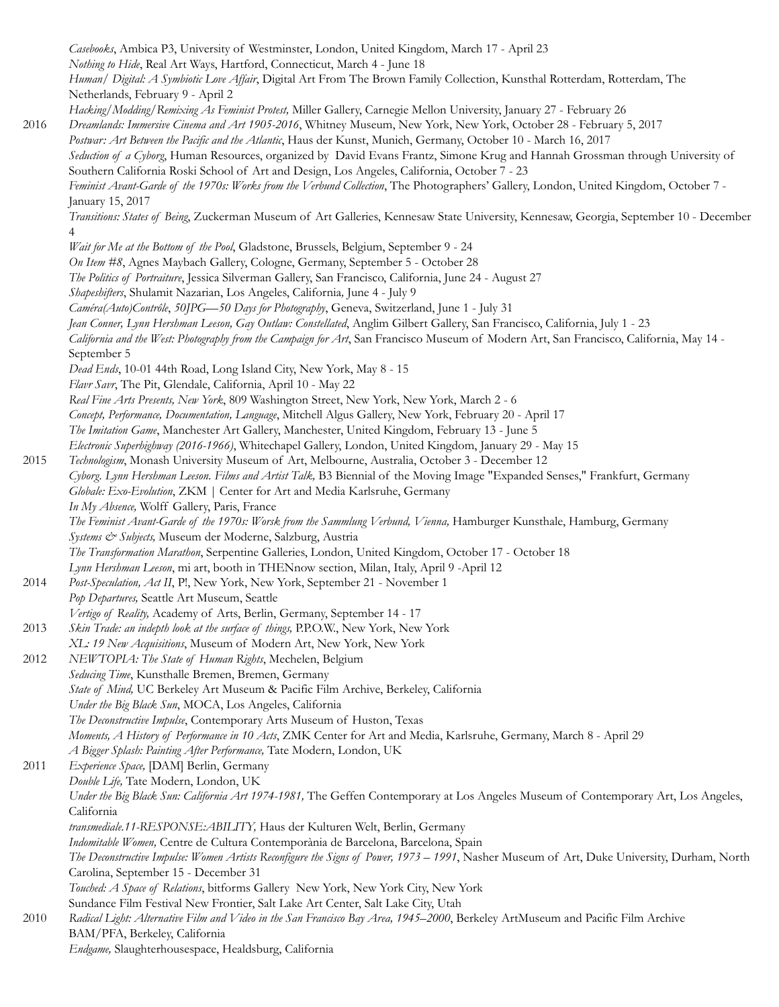*Casebooks*, Ambica P3, University of Westminster, London, United Kingdom, March 17 - April 23 *Nothing to Hide*, Real Art Ways, Hartford, Connecticut, March 4 - June 18 *Human/ Digital: A Symbiotic Love Affair*, Digital Art From The Brown Family Collection, Kunsthal Rotterdam, Rotterdam, The Netherlands, February 9 - April 2 *Hacking/Modding/Remixing As Feminist Protest,* Miller Gallery, Carnegie Mellon University, January 27 - February 26 2016 *Dreamlands: Immersive Cinema and Art 1905-2016*, Whitney Museum, New York, New York, October 28 - February 5, 2017 *Postwar: Art Between the Pacific and the Atlantic*, Haus der Kunst, Munich, Germany, October 10 - March 16, 2017 *Seduction of a Cyborg*, Human Resources, organized by David Evans Frantz, Simone Krug and Hannah Grossman through University of Southern California Roski School of Art and Design, Los Angeles, California, October 7 - 23 *Feminist Avant-Garde of the 1970s: Works from the Verbund Collection*, The Photographers' Gallery, London, United Kingdom, October 7 - January 15, 2017 *Transitions: States of Being*, Zuckerman Museum of Art Galleries, Kennesaw State University, Kennesaw, Georgia, September 10 - December 4 *Wait for Me at the Bottom of the Pool*, Gladstone, Brussels, Belgium, September 9 - 24 *On Item #8*, Agnes Maybach Gallery, Cologne, Germany, September 5 - October 28 *The Politics of Portraiture*, Jessica Silverman Gallery, San Francisco, California, June 24 - August 27 *Shapeshifters*, Shulamit Nazarian, Los Angeles, California*,* June 4 - July 9 *Caméra(Auto)Contrôle*, *50JPG—50 Days for Photography*, Geneva, Switzerland, June 1 - July 31 *Jean Conner, Lynn Hershman Leeson, Gay Outlaw: Constellated*, Anglim Gilbert Gallery, San Francisco, California, July 1 - 23 *California and the West: Photography from the Campaign for Art*, San Francisco Museum of Modern Art, San Francisco, California, May 14 - September 5 *Dead Ends*, 10-01 44th Road, Long Island City, New York, May 8 - 15 *Flavr Savr*, The Pit, Glendale, California, April 10 - May 22 *Real Fine Arts Presents, New York*, 809 Washington Street, New York, New York, March 2 - 6 *Concept, Performance, Documentation, Language*, Mitchell Algus Gallery, New York, February 20 - April 17 *The Imitation Game*, Manchester Art Gallery, Manchester, United Kingdom, February 13 - June 5 *Electronic Superhighway (2016-1966)*, Whitechapel Gallery, London, United Kingdom, January 29 - May 15 2015 *Technologism*, Monash University Museum of Art, Melbourne, Australia, October 3 - December 12 *Cyborg. Lynn Hershman Leeson. Films and Artist Talk,* B3 Biennial of the Moving Image "Expanded Senses," Frankfurt, Germany *Globale: Exo-Evolution*, ZKM | Center for Art and Media Karlsruhe, Germany *In My Absence,* Wolff Gallery, Paris, France *The Feminist Avant-Garde of the 1970s: Worsk from the Sammlung Verbund, Vienna, Hamburger Kunsthale, Hamburg, Germany Systems & Subjects,* Museum der Moderne, Salzburg, Austria *The Transformation Marathon*, Serpentine Galleries, London, United Kingdom, October 17 - October 18 *Lynn Hershman Leeson*, mi art, booth in THENnow section, Milan, Italy, April 9 -April 12 2014 *Post-Speculation, Act II*, P!, New York, New York, September 21 - November 1 *Pop Departures,* Seattle Art Museum, Seattle *Vertigo of Reality,* Academy of Arts, Berlin, Germany, September 14 - 17 2013 *Skin Trade: an indepth look at the surface of things,* P.P.O.W., New York, New York *XL: 19 New Acquisitions*, Museum of Modern Art, New York, New York 2012 *NEWTOPIA: The State of Human Rights*, Mechelen, Belgium *Seducing Time*, Kunsthalle Bremen, Bremen, Germany *State of Mind,* UC Berkeley Art Museum & Pacific Film Archive, Berkeley, California *Under the Big Black Sun*, MOCA, Los Angeles, California *The Deconstructive Impulse*, Contemporary Arts Museum of Huston, Texas *Moments, A History of Performance in 10 Acts*, ZMK Center for Art and Media, Karlsruhe, Germany, March 8 - April 29 *A Bigger Splash: Painting After Performance,* Tate Modern, London, UK 2011 *Experience Space,* [DAM] Berlin, Germany *Double Life,* Tate Modern, London, UK *Under the Big Black Sun: California Art 1974-1981,* The Geffen Contemporary at Los Angeles Museum of Contemporary Art, Los Angeles, California *transmediale.11-RESPONSE:ABILITY,* Haus der Kulturen Welt, Berlin, Germany *Indomitable Women,* Centre de Cultura Contemporània de Barcelona, Barcelona, Spain *The Deconstructive Impulse: Women Artists Reconfigure the Signs of Power, 1973 – 1991*, Nasher Museum of Art, Duke University, Durham, North Carolina, September 15 - December 31 *Touched: A Space of Relations*, bitforms Gallery New York, New York City, New York Sundance Film Festival New Frontier, Salt Lake Art Center, Salt Lake City, Utah 2010 *Radical Light: Alternative Film and Video in the San Francisco Bay Area, 1945–2000*, Berkeley ArtMuseum and Pacific Film Archive BAM/PFA, Berkeley, California *Endgame,* Slaughterhousespace, Healdsburg, California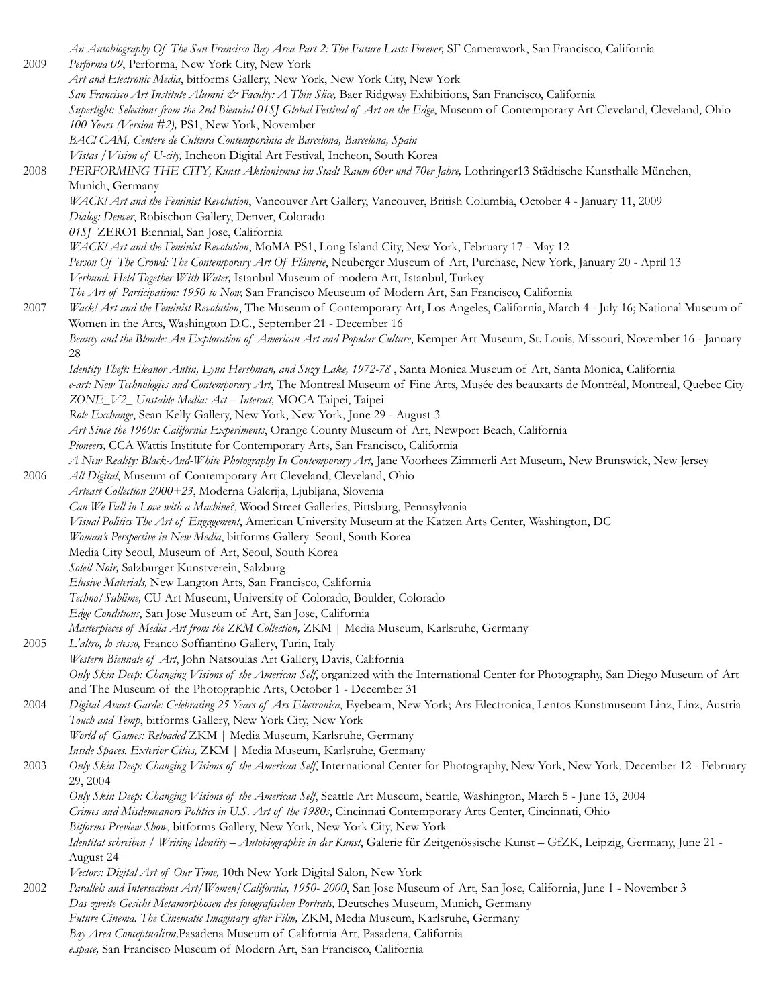|      | An Autobiography Of The San Francisco Bay Area Part 2: The Future Lasts Forever, SF Camerawork, San Francisco, California                                                                                                                      |
|------|------------------------------------------------------------------------------------------------------------------------------------------------------------------------------------------------------------------------------------------------|
| 2009 | Performa 09, Performa, New York City, New York<br>Art and Electronic Media, bitforms Gallery, New York, New York City, New York                                                                                                                |
|      | San Francisco Art Institute Alumni & Faculty: A Thin Slice, Baer Ridgway Exhibitions, San Francisco, California                                                                                                                                |
|      | Superlight: Selections from the 2nd Biennial 01SJ Global Festival of Art on the Edge, Museum of Contemporary Art Cleveland, Cleveland, Ohio                                                                                                    |
|      | 100 Years (Version #2), PS1, New York, November                                                                                                                                                                                                |
|      | BAC! CAM, Centere de Cultura Contemporània de Barcelona, Barcelona, Spain                                                                                                                                                                      |
|      | Vistas / Vision of U-city, Incheon Digital Art Festival, Incheon, South Korea                                                                                                                                                                  |
| 2008 | PERFORMING THE CITY, Kunst Aktionismus im Stadt Raum 60er und 70er Jahre, Lothringer13 Städtische Kunsthalle München,                                                                                                                          |
|      | Munich, Germany                                                                                                                                                                                                                                |
|      | WACK! Art and the Feminist Revolution, Vancouver Art Gallery, Vancouver, British Columbia, October 4 - January 11, 2009                                                                                                                        |
|      | Dialog: Denver, Robischon Gallery, Denver, Colorado                                                                                                                                                                                            |
|      | 01SJ ZERO1 Biennial, San Jose, California                                                                                                                                                                                                      |
|      | WACK! Art and the Feminist Revolution, MoMA PS1, Long Island City, New York, February 17 - May 12                                                                                                                                              |
|      | Person Of The Crowd: The Contemporary Art Of Flânerie, Neuberger Museum of Art, Purchase, New York, January 20 - April 13                                                                                                                      |
|      | Verbund: Held Together With Water, Istanbul Museum of modern Art, Istanbul, Turkey                                                                                                                                                             |
| 2007 | The Art of Participation: 1950 to Now, San Francisco Meuseum of Modern Art, San Francisco, California<br>Wack! Art and the Feminist Revolution, The Museum of Contemporary Art, Los Angeles, California, March 4 - July 16; National Museum of |
|      | Women in the Arts, Washington D.C., September 21 - December 16                                                                                                                                                                                 |
|      | Beauty and the Blonde: An Exploration of American Art and Popular Culture, Kemper Art Museum, St. Louis, Missouri, November 16 - January                                                                                                       |
|      | 28                                                                                                                                                                                                                                             |
|      | Identity Theft: Eleanor Antin, Lynn Hershman, and Suzy Lake, 1972-78, Santa Monica Museum of Art, Santa Monica, California                                                                                                                     |
|      | e-art: New Technologies and Contemporary Art, The Montreal Museum of Fine Arts, Musée des beauxarts de Montréal, Montreal, Quebec City                                                                                                         |
|      | ZONE_V2_Unstable Media: Act - Interact, MOCA Taipei, Taipei                                                                                                                                                                                    |
|      | Role Exchange, Sean Kelly Gallery, New York, New York, June 29 - August 3                                                                                                                                                                      |
|      | Art Since the 1960s: California Experiments, Orange County Museum of Art, Newport Beach, California                                                                                                                                            |
|      | Pioneers, CCA Wattis Institute for Contemporary Arts, San Francisco, California                                                                                                                                                                |
|      | A New Reality: Black-And-White Photography In Contemporary Art, Jane Voorhees Zimmerli Art Museum, New Brunswick, New Jersey                                                                                                                   |
| 2006 | All Digital, Museum of Contemporary Art Cleveland, Cleveland, Ohio                                                                                                                                                                             |
|      | Arteast Collection 2000+23, Moderna Galerija, Ljubljana, Slovenia                                                                                                                                                                              |
|      | Can We Fall in Love with a Machine?, Wood Street Galleries, Pittsburg, Pennsylvania                                                                                                                                                            |
|      | Visual Politics The Art of Engagement, American University Museum at the Katzen Arts Center, Washington, DC                                                                                                                                    |
|      | Woman's Perspective in New Media, bitforms Gallery Seoul, South Korea                                                                                                                                                                          |
|      | Media City Seoul, Museum of Art, Seoul, South Korea<br>Soleil Noir, Salzburger Kunstverein, Salzburg                                                                                                                                           |
|      | Elusive Materials, New Langton Arts, San Francisco, California                                                                                                                                                                                 |
|      | Techno/Sublime, CU Art Museum, University of Colorado, Boulder, Colorado                                                                                                                                                                       |
|      | Edge Conditions, San Jose Museum of Art, San Jose, California                                                                                                                                                                                  |
|      | Masterpieces of Media Art from the ZKM Collection, ZKM   Media Museum, Karlsruhe, Germany                                                                                                                                                      |
| 2005 | L'altro, lo stesso, Franco Soffiantino Gallery, Turin, Italy                                                                                                                                                                                   |
|      | Western Biennale of Art, John Natsoulas Art Gallery, Davis, California                                                                                                                                                                         |
|      | Only Skin Deep: Changing Visions of the American Self, organized with the International Center for Photography, San Diego Museum of Art                                                                                                        |
|      | and The Museum of the Photographic Arts, October 1 - December 31                                                                                                                                                                               |
| 2004 | Digital Avant-Garde: Celebrating 25 Years of Ars Electronica, Eyebeam, New York; Ars Electronica, Lentos Kunstmuseum Linz, Linz, Austria                                                                                                       |
|      | Touch and Temp, bitforms Gallery, New York City, New York                                                                                                                                                                                      |
|      | World of Games: Reloaded ZKM   Media Museum, Karlsruhe, Germany                                                                                                                                                                                |
|      | Inside Spaces. Exterior Cities, ZKM   Media Museum, Karlsruhe, Germany                                                                                                                                                                         |
| 2003 | Only Skin Deep: Changing Visions of the American Self, International Center for Photography, New York, New York, December 12 - February<br>29, 2004                                                                                            |
|      | Only Skin Deep: Changing Visions of the American Self, Seattle Art Museum, Seattle, Washington, March 5 - June 13, 2004                                                                                                                        |
|      | Crimes and Misdemeanors Politics in U.S. Art of the 1980s, Cincinnati Contemporary Arts Center, Cincinnati, Ohio                                                                                                                               |
|      | Bitforms Preview Show, bitforms Gallery, New York, New York City, New York                                                                                                                                                                     |
|      | Identitat schreiben / Writing Identity - Autobiographie in der Kunst, Galerie für Zeitgenössische Kunst - GfZK, Leipzig, Germany, June 21 -                                                                                                    |
|      | August 24                                                                                                                                                                                                                                      |
|      | Vectors: Digital Art of Our Time, 10th New York Digital Salon, New York                                                                                                                                                                        |
| 2002 | Parallels and Intersections Art/Women/California, 1950-2000, San Jose Museum of Art, San Jose, California, June 1 - November 3                                                                                                                 |
|      | Das zweite Gesicht Metamorphosen des fotografischen Porträts, Deutsches Museum, Munich, Germany                                                                                                                                                |
|      | Future Cinema. The Cinematic Imaginary after Film, ZKM, Media Museum, Karlsruhe, Germany                                                                                                                                                       |
|      | Bay Area Conceptualism, Pasadena Museum of California Art, Pasadena, California                                                                                                                                                                |
|      | e.space, San Francisco Museum of Modern Art, San Francisco, California                                                                                                                                                                         |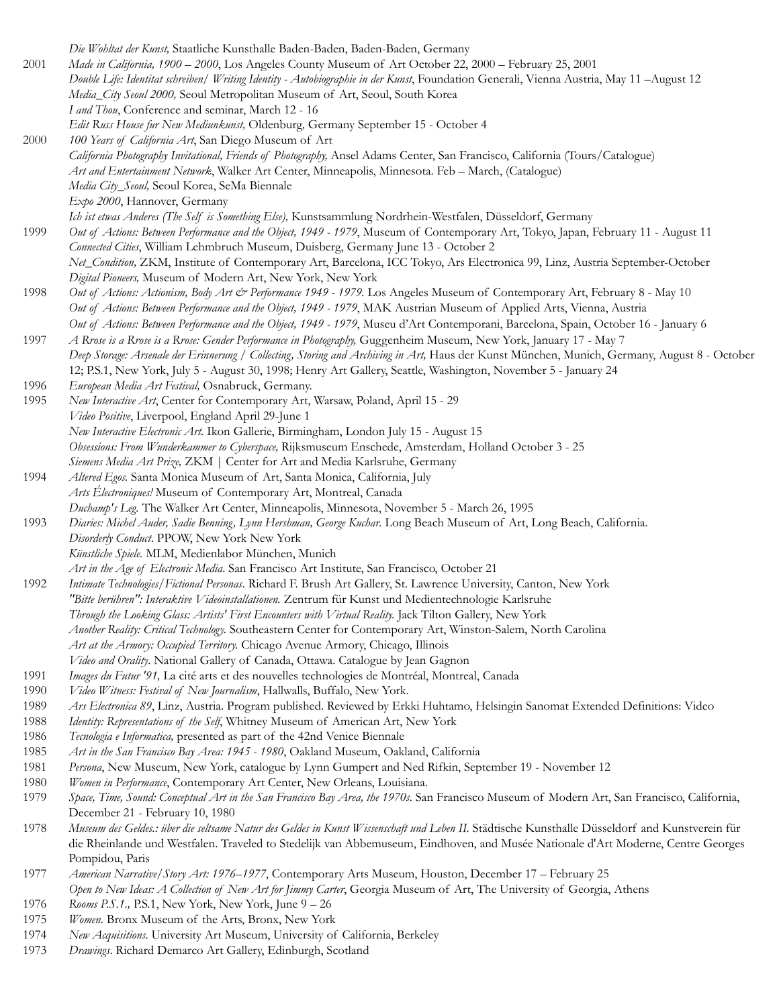*Die Wohltat der Kunst,* Staatliche Kunsthalle Baden-Baden, Baden-Baden, Germany 2001 *Made in California, 1900 – 2000*, Los Angeles County Museum of Art October 22, 2000 – February 25, 2001 *Double Life: Identitat schreiben/ Writing Identity - Autobiographie in der Kunst*, Foundation Generali, Vienna Austria, May 11 –August 12 *Media\_City Seoul 2000,* Seoul Metropolitan Museum of Art, Seoul, South Korea *I and Thou*, Conference and seminar, March 12 - 16 *Edit Russ House fur New Mediunkunst,* Oldenburg*,* Germany September 15 - October 4 2000 *100 Years of California Art*, San Diego Museum of Art *California Photography Invitational, Friends of Photography,* Ansel Adams Center, San Francisco, California (Tours/Catalogue) *Art and Entertainment Network*, Walker Art Center, Minneapolis, Minnesota. Feb – March, (Catalogue) *Media City\_Seoul,* Seoul Korea, SeMa Biennale *Expo 2000*, Hannover, Germany *Ich ist etwas Anderes (The Self is Something Else),* Kunstsammlung Nordrhein-Westfalen, Düsseldorf, Germany 1999 *Out of Actions: Between Performance and the Object, 1949 - 1979*, Museum of Contemporary Art, Tokyo, Japan, February 11 - August 11 *Connected Cities*, William Lehmbruch Museum, Duisberg, Germany June 13 - October 2 *Net\_Condition,* ZKM, Institute of Contemporary Art, Barcelona, ICC Tokyo, Ars Electronica 99, Linz, Austria September-October *Digital Pioneers,* Museum of Modern Art, New York, New York 1998 *Out of Actions: Actionism, Body Art & Performance 1949 - 1979.* Los Angeles Museum of Contemporary Art, February 8 - May 10 *Out of Actions: Between Performance and the Object, 1949 - 1979*, MAK Austrian Museum of Applied Arts, Vienna, Austria *Out of Actions: Between Performance and the Object, 1949 - 1979*, Museu d'Art Contemporani, Barcelona, Spain, October 16 - January 6 1997 *A Rrose is a Rrose is a Rrose: Gender Performance in Photography,* Guggenheim Museum, New York, January 17 - May 7 Deep Storage: Arsenale der Erinnerung / Collecting, Storing and Archiving in Art, Haus der Kunst München, Munich, Germany, August 8 - October 12; P.S.1, New York, July 5 - August 30, 1998; Henry Art Gallery, Seattle, Washington, November 5 - January 24 1996 *European Media Art Festival,* Osnabruck, Germany. 1995 *New Interactive Art*, Center for Contemporary Art, Warsaw, Poland, April 15 - 29 *Video Positive*, Liverpool, England April 29-June 1 *New Interactive Electronic Art.* Ikon Gallerie, Birmingham, London July 15 - August 15 *Obsessions: From Wunderkammer to Cyberspace,* Rijksmuseum Enschede, Amsterdam, Holland October 3 - 25 *Siemens Media Art Prize,* ZKM | Center for Art and Media Karlsruhe, Germany 1994 *Altered Egos.* Santa Monica Museum of Art, Santa Monica, California, July *Arts Électroniques!* Museum of Contemporary Art, Montreal, Canada *Duchamp's Leg.* The Walker Art Center, Minneapolis, Minnesota, November 5 - March 26, 1995 1993 *Diaries: Michel Auder, Sadie Benning, Lynn Hershman, George Kuchar. Long Beach Museum of Art, Long Beach, California. Disorderly Conduct*. PPOW, New York New York *Künstliche Spiele.* MLM, Medienlabor München, Munich *Art in the Age of Electronic Media*. San Francisco Art Institute, San Francisco, October 21 1992 *Intimate Technologies/Fictional Personas*. Richard F. Brush Art Gallery, St. Lawrence University, Canton, New York *"Bitte berühren": Interaktive Videoinstallationen.* Zentrum für Kunst und Medientechnologie Karlsruhe *Through the Looking Glass: Artists' First Encounters with Virtual Reality.* Jack Tilton Gallery, New York *Another Reality: Critical Technology.* Southeastern Center for Contemporary Art, Winston-Salem, North Carolina *Art at the Armory: Occupied Territory.* Chicago Avenue Armory, Chicago, Illinois *Video and Orality*. National Gallery of Canada, Ottawa. Catalogue by Jean Gagnon 1991 *Images du Futur '91,* La cité arts et des nouvelles technologies de Montréal, Montreal, Canada 1990 *Video Witness: Festival of New Journalism*, Hallwalls, Buffalo, New York. 1989 *Ars Electronica 89*, Linz, Austria. Program published. Reviewed by Erkki Huhtamo, Helsingin Sanomat Extended Definitions: Video 1988 *Identity: Representations of the Self*, Whitney Museum of American Art, New York 1986 *Tecnologia e Informatica,* presented as part of the 42nd Venice Biennale 1985 *Art in the San Francisco Bay Area: 1945 - 1980*, Oakland Museum, Oakland, California 1981 *Persona*, New Museum, New York, catalogue by Lynn Gumpert and Ned Rifkin, September 19 - November 12 1980 *Women in Performance*, Contemporary Art Center, New Orleans, Louisiana. 1979 *Space, Time, Sound: Conceptual Art in the San Francisco Bay Area, the 1970s*. San Francisco Museum of Modern Art, San Francisco, California, December 21 - February 10, 1980 1978 *Museum des Geldes.: über die seltsame Natur des Geldes in Kunst Wissenschaft und Leben II.* Städtische Kunsthalle Düsseldorf and Kunstverein für die Rheinlande und Westfalen. Traveled to Stedelijk van Abbemuseum, Eindhoven, and Musée Nationale d'Art Moderne, Centre Georges Pompidou, Paris 1977 *American Narrative/Story Art: 1976–1977*, Contemporary Arts Museum, Houston, December 17 – February 25 *Open to New Ideas: A Collection of New Art for Jimmy Carter*, Georgia Museum of Art, The University of Georgia, Athens 1976 *Rooms P.S.1.,* P.S.1, New York, New York, June 9 – 26 1975 *Women.* Bronx Museum of the Arts, Bronx, New York 1974 *New Acquisitions*. University Art Museum, University of California, Berkeley 1973 *Drawings*. Richard Demarco Art Gallery, Edinburgh, Scotland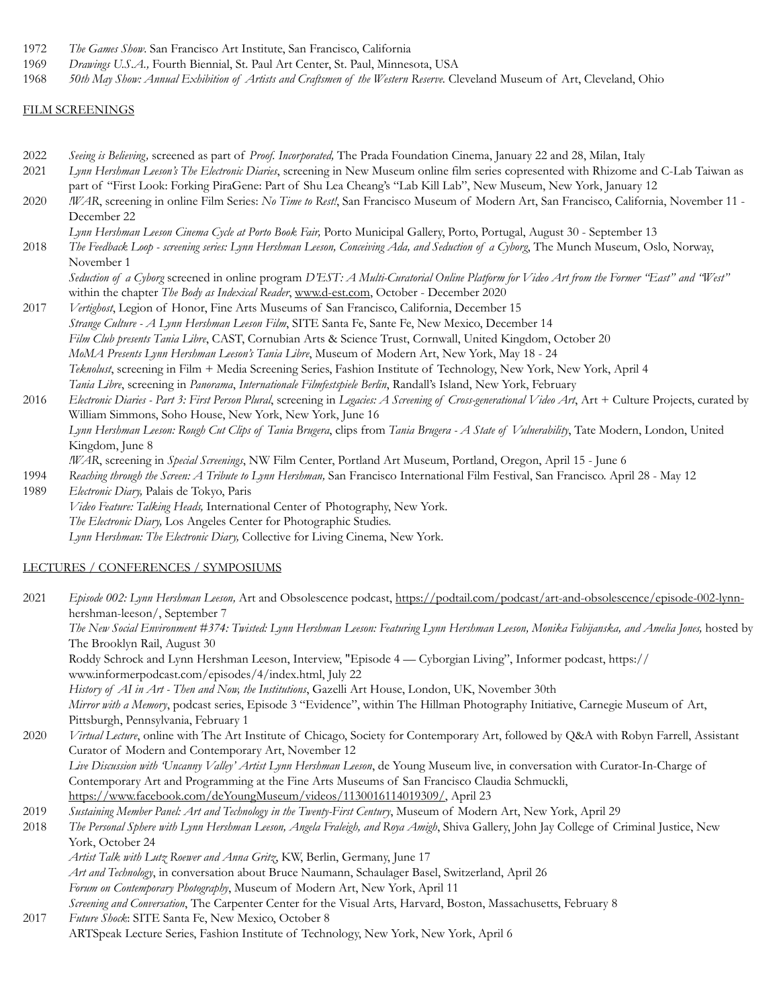- 1972 *The Games Show*. San Francisco Art Institute, San Francisco, California
- 1969 *Drawings U.S.A.,* Fourth Biennial, St. Paul Art Center, St. Paul, Minnesota, USA
- 1968 *50th May Show: Annual Exhibition of Artists and Craftsmen of the Western Reserve.* Cleveland Museum of Art, Cleveland, Ohio

#### FILM SCREENINGS

- 2022 *Seeing is Believing,* screened as part of *Proof. Incorporated,* The Prada Foundation Cinema, January 22 and 28, Milan, Italy
- 2021 *Lynn Hershman Leeson's The Electronic Diaries*, screening in New Museum online film series copresented with Rhizome and C-Lab Taiwan as part of "First Look: Forking PiraGene: Part of Shu Lea Cheang's "Lab Kill Lab", New Museum, New York, January 12
- 2020 *!WAR*, screening in online Film Series: *No Time to Rest!*, San Francisco Museum of Modern Art, San Francisco, California, November 11 December 22
- *Lynn Hershman Leeson Cinema Cycle at Porto Book Fair,* Porto Municipal Gallery, Porto, Portugal, August 30 September 13
- 2018 *The Feedback Loop screening series: Lynn Hershman Leeson, Conceiving Ada, and Seduction of a Cyborg*, The Munch Museum, Oslo, Norway, November 1

*Seduction of a Cyborg* screened in online program *D'EST: A Multi-Curatorial Online Platform for Video Art from the Former "East" and "West"*  within the chapter *The Body as Indexical Reader*, [www.d-est.com,](http://www.d-est.com/) October - December 2020

2017 *Vertighost*, Legion of Honor, Fine Arts Museums of San Francisco, California, December 15 *Strange Culture - A Lynn Hershman Leeson Film*, SITE Santa Fe, Sante Fe, New Mexico, December 14 *Film Club presents Tania Libre*, CAST, Cornubian Arts & Science Trust, Cornwall, United Kingdom, October 20 *MoMA Presents Lynn Hershman Leeson's Tania Libre*, Museum of Modern Art, New York, May 18 - 24 *Teknolust*, screening in Film + Media Screening Series, Fashion Institute of Technology, New York, New York, April 4 *Tania Libre*, screening in *Panorama*, *Internationale Filmfestspiele Berlin*, Randall's Island, New York, February

2016 *Electronic Diaries - Part 3: First Person Plural*, screening in *Legacies: A Screening of Cross-generational Video Art*, Art + Culture Projects, curated by William Simmons, Soho House, New York, New York, June 16 *Lynn Hershman Leeson: Rough Cut Clips of Tania Brugera*, clips from *Tania Brugera - A State of Vulnerability*, Tate Modern, London, United Kingdom, June 8 *!WAR*, screening in *Special Screenings*, NW Film Center, Portland Art Museum, Portland, Oregon, April 15 - June 6 1994 *Reaching through the Screen: A Tribute to Lynn Hershman,* San Francisco International Film Festival, San Francisco. April 28 - May 12

1989 *Electronic Diary,* Palais de Tokyo, Paris *Video Feature: Talking Heads,* International Center of Photography, New York. *The Electronic Diary,* Los Angeles Center for Photographic Studies. *Lynn Hershman: The Electronic Diary,* Collective for Living Cinema, New York.

#### LECTURES / CONFERENCES / SYMPOSIUMS

2021 *Episode 002: Lynn Hershman Leeson,* Art and Obsolescence podcast, [https://podtail.com/podcast/art-and-obsolescence/episode-002-lynn](https://podtail.com/podcast/art-and-obsolescence/episode-002-lynn-)hershman-leeson/, September 7 *The New Social Environment #374: Twisted: Lynn Hershman Leeson: Featuring Lynn Hershman Leeson, Monika Fabijanska, and Amelia Jones,* hosted by The Brooklyn Rail, August 30 Roddy Schrock and Lynn Hershman Leeson, Interview, "Episode 4 — Cyborgian Living", Informer podcast, https:// www.informerpodcast.com/episodes/4/index.html, July 22 *History of AI in Art - Then and Now, the Institutions*, Gazelli Art House, London, UK, November 30th *Mirror with a Memory*, podcast series, Episode 3 "Evidence", within The Hillman Photography Initiative, Carnegie Museum of Art, Pittsburgh, Pennsylvania, February 1 2020 *Virtual Lecture*, online with The Art Institute of Chicago, Society for Contemporary Art, followed by Q&A with Robyn Farrell, Assistant Curator of Modern and Contemporary Art, November 12 *Live Discussion with 'Uncanny Valley' Artist Lynn Hershman Leeson*, de Young Museum live, in conversation with Curator-In-Charge of Contemporary Art and Programming at the Fine Arts Museums of San Francisco Claudia Schmuckli, [https://www.facebook.com/deYoungMuseum/videos/1130016114019309/,](https://www.facebook.com/deYoungMuseum/videos/1130016114019309/) April 23 2019 *Sustaining Member Panel: Art and Technology in the Twenty-First Century*, Museum of Modern Art, New York, April 29 2018 *The Personal Sphere with Lynn Hershman Leeson, Angela Fraleigh, and Roya Amigh*, Shiva Gallery, John Jay College of Criminal Justice, New York, October 24 *Artist Talk with Lutz Roewer and Anna Gritz*, KW, Berlin, Germany, June 17 *Art and Technology*, in conversation about Bruce Naumann, Schaulager Basel, Switzerland, April 26 *Forum on Contemporary Photography*, Museum of Modern Art, New York, April 11 *Screening and Conversation*, The Carpenter Center for the Visual Arts, Harvard, Boston, Massachusetts, February 8

2017 *Future Shock*: SITE Santa Fe, New Mexico, October 8 ARTSpeak Lecture Series, Fashion Institute of Technology, New York, New York, April 6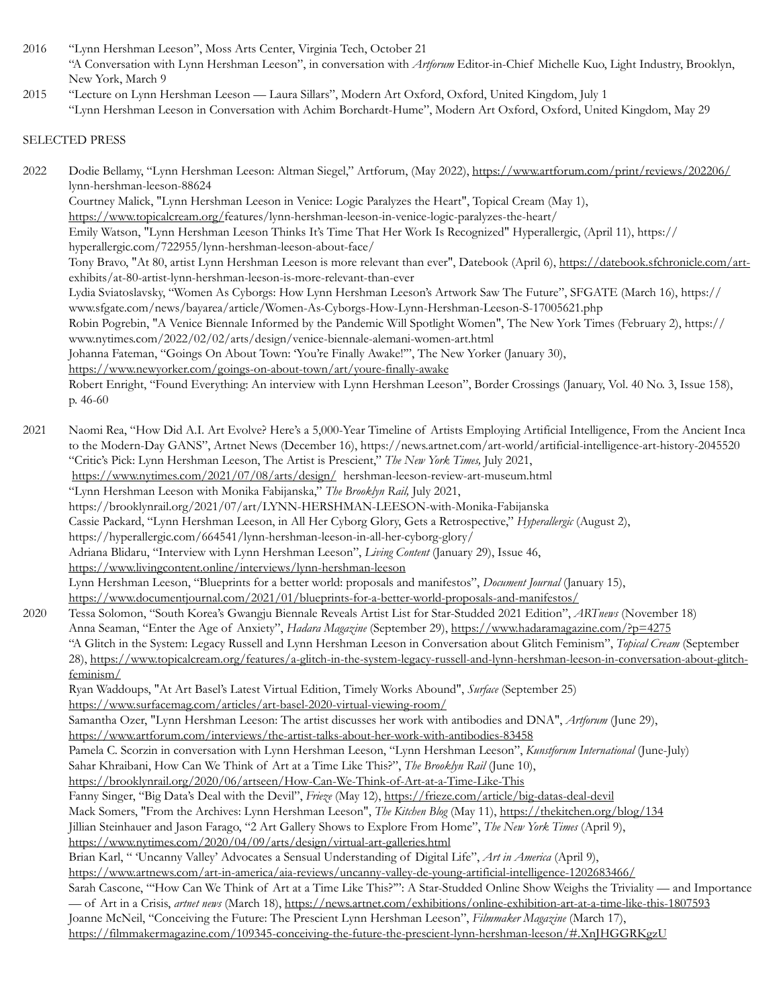2016 "Lynn Hershman Leeson", Moss Arts Center, Virginia Tech, October 21 "A Conversation with Lynn Hershman Leeson", in conversation with *Artforum* Editor-in-Chief Michelle Kuo, Light Industry, Brooklyn, New York, March 9

2015 "Lecture on Lynn Hershman Leeson — Laura Sillars", Modern Art Oxford, Oxford, United Kingdom, July 1 "Lynn Hershman Leeson in Conversation with Achim Borchardt-Hume", Modern Art Oxford, Oxford, United Kingdom, May 29

## SELECTED PRESS

2022 Dodie Bellamy, "Lynn Hershman Leeson: Altman Siegel," Artforum, (May 2022),<https://www.artforum.com/print/reviews/202206/> lynn-hershman-leeson-88624 Courtney Malick, "Lynn Hershman Leeson in Venice: Logic Paralyzes the Heart", Topical Cream (May 1), <https://www.topicalcream.org/>features/lynn-hershman-leeson-in-venice-logic-paralyzes-the-heart/ Emily Watson, "Lynn Hershman Leeson Thinks It's Time That Her Work Is Recognized" Hyperallergic, (April 11), https:// hyperallergic.com/722955/lynn-hershman-leeson-about-face/ Tony Bravo, "At 80, artist Lynn Hershman Leeson is more relevant than ever", Datebook (April 6), [https://datebook.sfchronicle.com/art](https://datebook.sfchronicle.com/art-)exhibits/at-80-artist-lynn-hershman-leeson-is-more-relevant-than-ever Lydia Sviatoslavsky, "Women As Cyborgs: How Lynn Hershman Leeson's Artwork Saw The Future", SFGATE (March 16), https:// www.sfgate.com/news/bayarea/article/Women-As-Cyborgs-How-Lynn-Hershman-Leeson-S-17005621.php Robin Pogrebin, "A Venice Biennale Informed by the Pandemic Will Spotlight Women", The New York Times (February 2), https:// www.nytimes.com/2022/02/02/arts/design/venice-biennale-alemani-women-art.html Johanna Fateman, "Goings On About Town: 'You're Finally Awake!'", The New Yorker (January 30), <https://www.newyorker.com/goings-on-about-town/art/youre-finally-awake> Robert Enright, "Found Everything: An interview with Lynn Hershman Leeson", Border Crossings (January, Vol. 40 No. 3, Issue 158), p. 46-60 2021 Naomi Rea, "How Did A.I. Art Evolve? Here's a 5,000-Year Timeline of Artists Employing Artificial Intelligence, From the Ancient Inca to the Modern-Day GANS", Artnet News (December 16), https://news.artnet.com/art-world/artificial-intelligence-art-history-2045520 "Critic's Pick: Lynn Hershman Leeson, The Artist is Prescient," *The New York Times,* July 2021, <https://www.nytimes.com/2021/07/08/arts/design/> hershman-leeson-review-art-museum.html "Lynn Hershman Leeson with Monika Fabijanska," *The Brooklyn Rail,* July 2021, https://brooklynrail.org/2021/07/art/LYNN-HERSHMAN-LEESON-with-Monika-Fabijanska Cassie Packard, "Lynn Hershman Leeson, in All Her Cyborg Glory, Gets a Retrospective," *Hyperallergic* (August 2), https://hyperallergic.com/664541/lynn-hershman-leeson-in-all-her-cyborg-glory/ Adriana Blidaru, "Interview with Lynn Hershman Leeson", *Living Content* (January 29), Issue 46, <https://www.livingcontent.online/interviews/lynn-hershman-leeson> Lynn Hershman Leeson, "Blueprints for a better world: proposals and manifestos", *Document Journal* (January 15), <https://www.documentjournal.com/2021/01/blueprints-for-a-better-world-proposals-and-manifestos/> 2020 Tessa Solomon, "South Korea's Gwangju Biennale Reveals Artist List for Star-Studded 2021 Edition", *ARTnews* (November 18) Anna Seaman, "Enter the Age of Anxiety", *Hadara Magazine* (September 29), <https://www.hadaramagazine.com/?p=4275> "A Glitch in the System: Legacy Russell and Lynn Hershman Leeson in Conversation about Glitch Feminism", *Topical Cream* (September 28), [https://www.topicalcream.org/features/a-glitch-in-the-system-legacy-russell-and-lynn-hershman-leeson-in-conversation-about-glitch](https://www.topicalcream.org/features/a-glitch-in-the-system-legacy-russell-and-lynn-hershman-leeson-in-conversation-about-glitch-)feminism/ Ryan Waddoups, "At Art Basel's Latest Virtual Edition, Timely Works Abound", *Surface* (September 25) <https://www.surfacemag.com/articles/art-basel-2020-virtual-viewing-room/> Samantha Ozer, "Lynn Hershman Leeson: The artist discusses her work with antibodies and DNA", *Artforum* (June 29), <https://www.artforum.com/interviews/the-artist-talks-about-her-work-with-antibodies-83458> Pamela C. Scorzin in conversation with Lynn Hershman Leeson, "Lynn Hershman Leeson", *Kunstforum International* (June-July) Sahar Khraibani, How Can We Think of Art at a Time Like This?", *The Brooklyn Rail* (June 10), <https://brooklynrail.org/2020/06/artseen/How-Can-We-Think-of-Art-at-a-Time-Like-This> Fanny Singer, "Big Data's Deal with the Devil", *Frieze* (May 12),<https://frieze.com/article/big-datas-deal-devil> Mack Somers, "From the Archives: Lynn Hershman Leeson", *The Kitchen Blog* (May 11), <https://thekitchen.org/blog/134> Jillian Steinhauer and Jason Farago, "2 Art Gallery Shows to Explore From Home", *The New York Times* (April 9), <https://www.nytimes.com/2020/04/09/arts/design/virtual-art-galleries.html> Brian Karl, " 'Uncanny Valley' Advocates a Sensual Understanding of Digital Life", *Art in America* (April 9), <https://www.artnews.com/art-in-america/aia-reviews/uncanny-valley-de-young-artificial-intelligence-1202683466/> Sarah Cascone, "'How Can We Think of Art at a Time Like This?'": A Star-Studded Online Show Weighs the Triviality — and Importance — of Art in a Crisis, *artnet news* (March 18), <https://news.artnet.com/exhibitions/online-exhibition-art-at-a-time-like-this-1807593> Joanne McNeil, "Conceiving the Future: The Prescient Lynn Hershman Leeson", *Filmmaker Magazine* (March 17), <https://filmmakermagazine.com/109345-conceiving-the-future-the-prescient-lynn-hershman-leeson/#.XnJHGGRKgzU>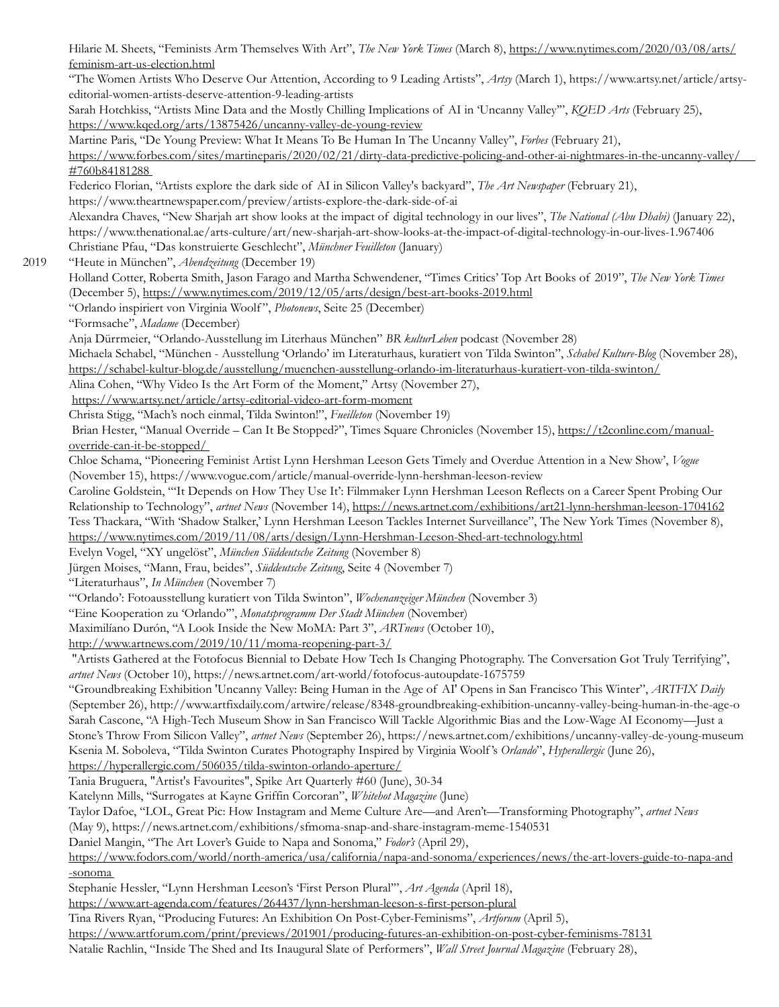Hilarie M. Sheets, "Feminists Arm Themselves With Art", *The New York Times* (March 8),<https://www.nytimes.com/2020/03/08/arts/> feminism-art-us-election.html "The Women Artists Who Deserve Our Attention, According to 9 Leading Artists", *Artsy* (March 1), https://www.artsy.net/article/artsyeditorial-women-artists-deserve-attention-9-leading-artists Sarah Hotchkiss, "Artists Mine Data and the Mostly Chilling Implications of AI in 'Uncanny Valley'", *KQED Arts* (February 25), <https://www.kqed.org/arts/13875426/uncanny-valley-de-young-review> Martine Paris, "De Young Preview: What It Means To Be Human In The Uncanny Valley", *Forbes* (February 21), https://www.forbes.com/sites/martineparis/2020/02/21/dirty-data-predictive-policing-and-other-ai-nightmares-in-the-uncanny-valley/ #760b84181288 Federico Florian, "Artists explore the dark side of AI in Silicon Valley's backyard", *The Art Newspaper* (February 21), https://www.theartnewspaper.com/preview/artists-explore-the-dark-side-of-ai Alexandra Chaves, "New Sharjah art show looks at the impact of digital technology in our lives", *The National (Abu Dhabi)* (January 22), https://www.thenational.ae/arts-culture/art/new-sharjah-art-show-looks-at-the-impact-of-digital-technology-in-our-lives-1.967406 Christiane Pfau, "Das konstruierte Geschlecht", *Münchner Feuilleton* (January) 2019 "Heute in München", *Abendzeitung* (December 19) Holland Cotter, Roberta Smith, Jason Farago and Martha Schwendener, "Times Critics' Top Art Books of 2019", *The New York Times*  (December 5), https://www.nytimes.com/2019/12/05/arts/design/best-art-books-2019.html "Orlando inspiriert von Virginia Woolf ", *Photonews*, Seite 25 (December) "Formsache", *Madame* (December) Anja Dürrmeier, "Orlando-Ausstellung im Literhaus München" *BR kulturLeben* podcast (November 28) Michaela Schabel, "München - Ausstellung 'Orlando' im Literaturhaus, kuratiert von Tilda Swinton", *Schabel Kulture-Blog* (November 28), <https://schabel-kultur-blog.de/ausstellung/muenchen-ausstellung-orlando-im-literaturhaus-kuratiert-von-tilda-swinton/> Alina Cohen, "Why Video Is the Art Form of the Moment," Artsy (November 27), <https://www.artsy.net/article/artsy-editorial-video-art-form-moment> Christa Stigg, "Mach's noch einmal, Tilda Swinton!", *Fueilleton* (November 19) Brian Hester, "Manual Override – Can It Be Stopped?", Times Square Chronicles (November 15), [https://t2conline.com/manual](https://t2conline.com/manual-)override-can-it-be-stopped/ Chloe Schama, "Pioneering Feminist Artist Lynn Hershman Leeson Gets Timely and Overdue Attention in a New Show', *Vogue* (November 15), https://www.vogue.com/article/manual-override-lynn-hershman-leeson-review Caroline Goldstein, "'It Depends on How They Use It': Filmmaker Lynn Hershman Leeson Reflects on a Career Spent Probing Our Relationship to Technology", *artnet News* (November 14), https://news.artnet.com/exhibitions/art21-lynn-hershman-leeson-1704162 Tess Thackara, "With 'Shadow Stalker,' Lynn Hershman Leeson Tackles Internet Surveillance", The New York Times (November 8), https://www.nytimes.com/2019/11/08/arts/design/Lynn-Hershman-Leeson-Shed-art-technology.html Evelyn Vogel, "XY ungelöst", *München Süddeutsche Zeitung* (November 8) Jürgen Moises, "Mann, Frau, beides", *Süddeutsche Zeitung*, Seite 4 (November 7) "Literaturhaus", *In München* (November 7) "'Orlando': Fotoausstellung kuratiert von Tilda Swinton", *Wochenanzeiger München* (November 3) "Eine Kooperation zu 'Orlando'", *Monatsprogramm Der Stadt München* (November) Maximilíano Durón, "A Look Inside the New MoMA: Part 3", *ARTnews* (October 10), <http://www.artnews.com/2019/10/11/moma-reopening-part-3/> "Artists Gathered at the Fotofocus Biennial to Debate How Tech Is Changing Photography. The Conversation Got Truly Terrifying", *artnet News* (October 10), https://news.artnet.com/art-world/fotofocus-autoupdate-1675759 "Groundbreaking Exhibition 'Uncanny Valley: Being Human in the Age of AI' Opens in San Francisco This Winter", *ARTFIX Daily*  (September 26), http://www.artfixdaily.com/artwire/release/8348-groundbreaking-exhibition-uncanny-valley-being-human-in-the-age-o Sarah Cascone, "A High-Tech Museum Show in San Francisco Will Tackle Algorithmic Bias and the Low-Wage AI Economy—Just a Stone's Throw From Silicon Valley", *artnet News* (September 26), https://news.artnet.com/exhibitions/uncanny-valley-de-young-museum Ksenia M. Soboleva, "Tilda Swinton Curates Photography Inspired by Virginia Woolf 's *Orlando*", *Hyperallergic* (June 26), <https://hyperallergic.com/506035/tilda-swinton-orlando-aperture/> Tania Bruguera, "Artist's Favourites", Spike Art Quarterly #60 (June), 30-34 Katelynn Mills, "Surrogates at Kayne Griffin Corcoran", *Whitehot Magazine* (June) Taylor Dafoe, "LOL, Great Pic: How Instagram and Meme Culture Are—and Aren't—Transforming Photography", *artnet News* (May 9), https://news.artnet.com/exhibitions/sfmoma-snap-and-share-instagram-meme-1540531 Daniel Mangin, "The Art Lover's Guide to Napa and Sonoma," *Fodor's* (April 29), [https://www.fodors.com/world/north-america/usa/california/napa-and-sonoma/experiences/news/the-art-lovers-guide-to-napa-and](https://www.fodors.com/world/north-america/usa/california/napa-and-sonoma/experiences/news/the-art-lovers-guide-to-napa-and-sonoma) -sonoma Stephanie Hessler, "Lynn Hershman Leeson's 'First Person Plural'", *Art Agenda* (April 18), <https://www.art-agenda.com/features/264437/lynn-hershman-leeson-s-first-person-plural> Tina Rivers Ryan, "Producing Futures: An Exhibition On Post-Cyber-Feminisms", *Artforum* (April 5), <https://www.artforum.com/print/previews/201901/producing-futures-an-exhibition-on-post-cyber-feminisms-78131>

Natalie Rachlin, "Inside The Shed and Its Inaugural Slate of Performers", *Wall Street Journal Magazine* (February 28),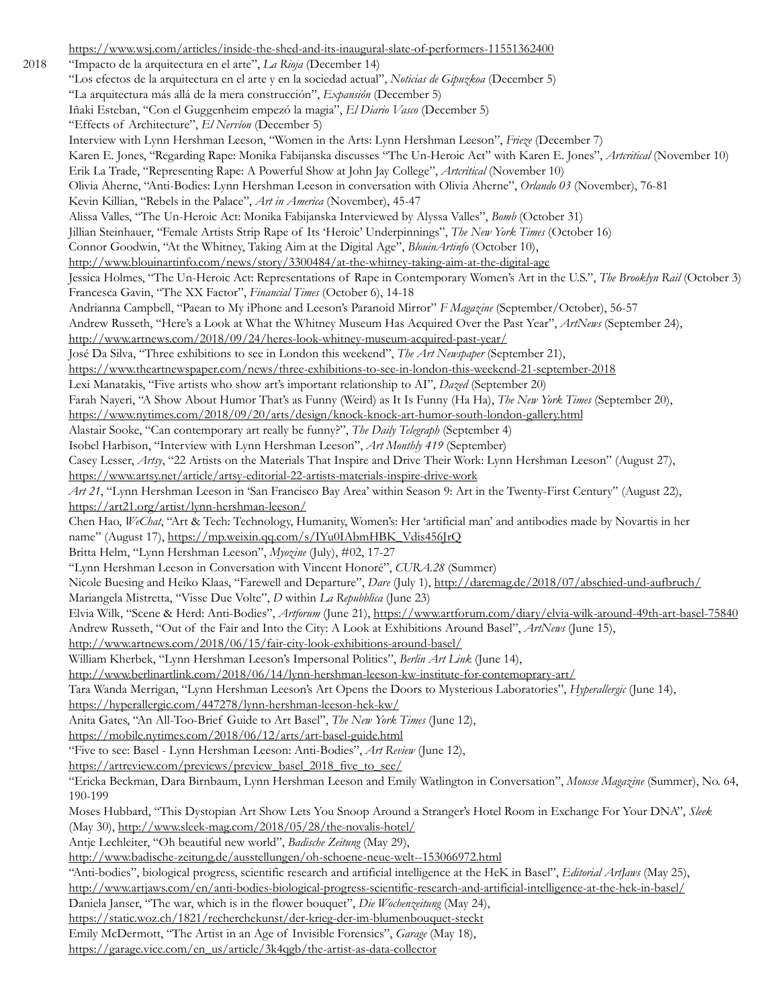<https://www.wsj.com/articles/inside-the-shed-and-its-inaugural-slate-of-performers-11551362400> 2018 "Impacto de la arquitectura en el arte", *La Rioja* (December 14) "Los efectos de la arquitectura en el arte y en la sociedad actual", *Noticias de Gipuzkoa* (December 5) "La arquitectura más allá de la mera construcción", *Expansión* (December 5) Iñaki Esteban, "Con el Guggenheim empezó la magia", *El Diario Vasco* (December 5) "Effects of Architecture", *El Nervíon* (December 5) Interview with Lynn Hershman Leeson, "Women in the Arts: Lynn Hershman Leeson", *Frieze* (December 7) Karen E. Jones, "Regarding Rape: Monika Fabijanska discusses "The Un-Heroic Act" with Karen E. Jones", *Artcritical* (November 10) Erik La Trade, "Representing Rape: A Powerful Show at John Jay College", *Artcritical* (November 10) Olivia Aherne, "Anti-Bodies: Lynn Hershman Leeson in conversation with Olivia Aherne", *Orlando 03* (November), 76-81 Kevin Killian, "Rebels in the Palace", *Art in America* (November), 45-47 Alissa Valles, "The Un-Heroic Act: Monika Fabijanska Interviewed by Alyssa Valles", *Bomb* (October 31) Jillian Steinhauer, "Female Artists Strip Rape of Its 'Heroic' Underpinnings", *The New York Times* (October 16) Connor Goodwin, "At the Whitney, Taking Aim at the Digital Age", *BlouinArtinfo* (October 10), <http://www.blouinartinfo.com/news/story/3300484/at-the-whitney-taking-aim-at-the-digital-age> Jessica Holmes, "The Un-Heroic Act: Representations of Rape in Contemporary Women's Art in the U.S.", *The Brooklyn Rail* (October 3) Francesca Gavin, "The XX Factor", *Financial Times* (October 6), 14-18 Andrianna Campbell, "Paean to My iPhone and Leeson's Paranoid Mirror" *F Magazine* (September/October), 56-57 Andrew Russeth, "Here's a Look at What the Whitney Museum Has Acquired Over the Past Year", *ArtNews* (September 24), <http://www.artnews.com/2018/09/24/heres-look-whitney-museum-acquired-past-year/> José Da Silva, "Three exhibitions to see in London this weekend", *The Art Newspaper* (September 21), <https://www.theartnewspaper.com/news/three-exhibitions-to-see-in-london-this-weekend-21-september-2018> Lexi Manatakis, "Five artists who show art's important relationship to AI", *Dazed* (September 20) Farah Nayeri, "A Show About Humor That's as Funny (Weird) as It Is Funny (Ha Ha), *The New York Times* (September 20), <https://www.nytimes.com/2018/09/20/arts/design/knock-knock-art-humor-south-london-gallery.html> Alastair Sooke, "Can contemporary art really be funny?", *The Daily Telegraph* (September 4) Isobel Harbison, "Interview with Lynn Hershman Leeson", *Art Monthly 419* (September) Casey Lesser, *Artsy*, "22 Artists on the Materials That Inspire and Drive Their Work: Lynn Hershman Leeson" (August 27), <https://www.artsy.net/article/artsy-editorial-22-artists-materials-inspire-drive-work> *Art 21*, "Lynn Hershman Leeson in 'San Francisco Bay Area' within Season 9: Art in the Twenty-First Century" (August 22), <https://art21.org/artist/lynn-hershman-leeson/> Chen Hao, *WeChat*, "Art & Tech: Technology, Humanity, Women's: Her 'artificial man' and antibodies made by Novartis in her name" (August 17), [https://mp.weixin.qq.com/s/IYu0IAbmHBK\\_Vdis456JrQ](https://mp.weixin.qq.com/s/IYu0IAbmHBK_Vdis456JrQ) Britta Helm, "Lynn Hershman Leeson", *Myozine* (July), #02, 17-27 "Lynn Hershman Leeson in Conversation with Vincent Honoré", *CURA.28* (Summer) Nicole Buesing and Heiko Klaas, "Farewell and Departure", *Dare* (July 1),<http://daremag.de/2018/07/abschied-und-aufbruch/> Mariangela Mistretta, "Visse Due Volte", *D* within *La Repubblica* (June 23) Elvia Wilk, "Scene & Herd: Anti-Bodies", *Artforum* (June 21), <https://www.artforum.com/diary/elvia-wilk-around-49th-art-basel-75840> Andrew Russeth, "Out of the Fair and Into the City: A Look at Exhibitions Around Basel", *ArtNews* (June 15), <http://www.artnews.com/2018/06/15/fair-city-look-exhibitions-around-basel/> William Kherbek, "Lynn Hershman Leeson's Impersonal Politics", *Berlin Art Link* (June 14), <http://www.berlinartlink.com/2018/06/14/lynn-hershman-leeson-kw-institute-for-contemoprary-art/> Tara Wanda Merrigan, "Lynn Hershman Leeson's Art Opens the Doors to Mysterious Laboratories", *Hyperallergic* (June 14), <https://hyperallergic.com/447278/lynn-hershman-leeson-hek-kw/> Anita Gates, "An All-Too-Brief Guide to Art Basel", *The New York Times* (June 12), <https://mobile.nytimes.com/2018/06/12/arts/art-basel-guide.html> "Five to see: Basel - Lynn Hershman Leeson: Anti-Bodies", *Art Review* (June 12), [https://artreview.com/previews/preview\\_basel\\_2018\\_five\\_to\\_see/](https://artreview.com/previews/preview_basel_2018_five_to_see/) "Ericka Beckman, Dara Birnbaum, Lynn Hershman Leeson and Emily Watlington in Conversation", *Mousse Magazine* (Summer), No. 64, 190-199 Moses Hubbard, "This Dystopian Art Show Lets You Snoop Around a Stranger's Hotel Room in Exchange For Your DNA", *Sleek*  (May 30), <http://www.sleek-mag.com/2018/05/28/the-novalis-hotel/> Antje Lechleiter, "Oh beautiful new world", *Badische Zeitung* (May 29), <http://www.badische-zeitung.de/ausstellungen/oh-schoene-neue-welt--153066972.html> "Anti-bodies", biological progress, scientific research and artificial intelligence at the HeK in Basel", *Editorial ArtJaws* (May 25), <http://www.artjaws.com/en/anti-bodies-biological-progress-scientific-research-and-artificial-intelligence-at-the-hek-in-basel/> Daniela Janser, "The war, which is in the flower bouquet", *Die Wochenzeitung* (May 24), <https://static.woz.ch/1821/recherchekunst/der-krieg-der-im-blumenbouquet-steckt> Emily McDermott, "The Artist in an Age of Invisible Forensics", *Garage* (May 18), [https://garage.vice.com/en\\_us/article/3k4qgb/the-artist-as-data-collector](https://garage.vice.com/en_us/article/3k4qgb/the-artist-as-data-collector)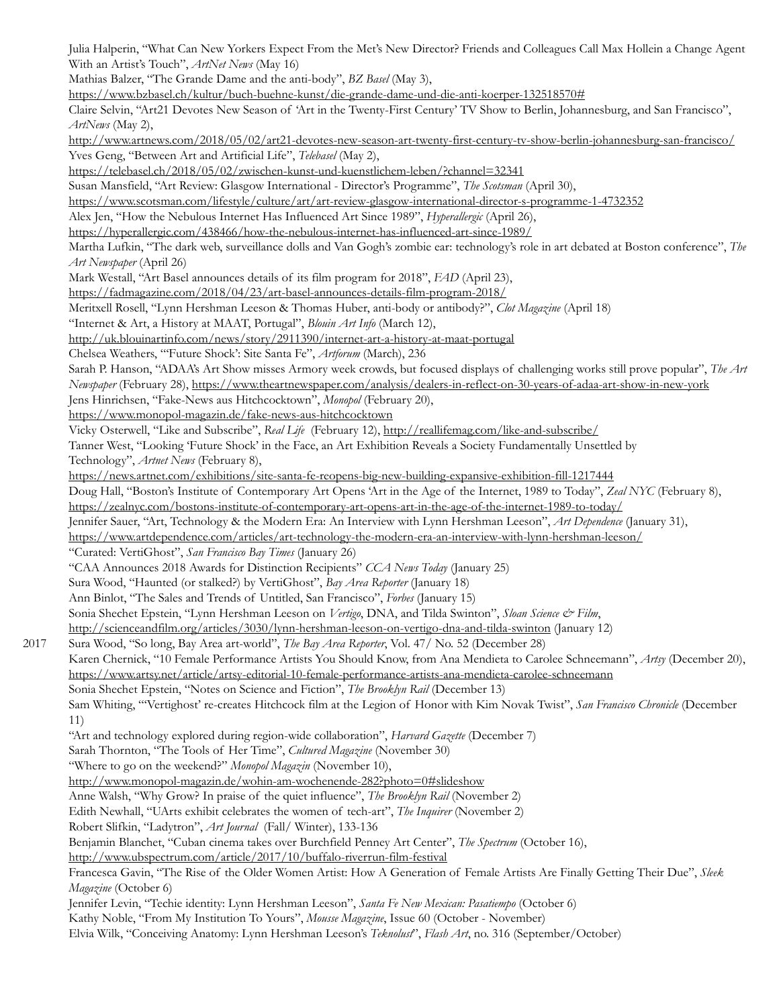Julia Halperin, "What Can New Yorkers Expect From the Met's New Director? Friends and Colleagues Call Max Hollein a Change Agent With an Artist's Touch", *ArtNet News* (May 16)

Mathias Balzer, "The Grande Dame and the anti-body", *BZ Basel* (May 3),

<https://www.bzbasel.ch/kultur/buch-buehne-kunst/die-grande-dame-und-die-anti-koerper-132518570#>

Claire Selvin, "Art21 Devotes New Season of 'Art in the Twenty-First Century' TV Show to Berlin, Johannesburg, and San Francisco", *ArtNews* (May 2),

<http://www.artnews.com/2018/05/02/art21-devotes-new-season-art-twenty-first-century-tv-show-berlin-johannesburg-san-francisco/> Yves Geng, "Between Art and Artificial Life", *Telebasel* (May 2),

<https://telebasel.ch/2018/05/02/zwischen-kunst-und-kuenstlichem-leben/?channel=32341>

Susan Mansfield, "Art Review: Glasgow International - Director's Programme", *The Scotsman* (April 30),

<https://www.scotsman.com/lifestyle/culture/art/art-review-glasgow-international-director-s-programme-1-4732352>

Alex Jen, "How the Nebulous Internet Has Influenced Art Since 1989", *Hyperallergic* (April 26),

<https://hyperallergic.com/438466/how-the-nebulous-internet-has-influenced-art-since-1989/>

Martha Lufkin, "The dark web, surveillance dolls and Van Gogh's zombie ear: technology's role in art debated at Boston conference", *The Art Newspaper* (April 26)

Mark Westall, "Art Basel announces details of its film program for 2018", *FAD* (April 23),

<https://fadmagazine.com/2018/04/23/art-basel-announces-details-film-program-2018/>

Meritxell Rosell, "Lynn Hershman Leeson & Thomas Huber, anti-body or antibody?", *Clot Magazine* (April 18)

"Internet & Art, a History at MAAT, Portugal", *Blouin Art Info* (March 12),

<http://uk.blouinartinfo.com/news/story/2911390/internet-art-a-history-at-maat-portugal>

Chelsea Weathers, "'Future Shock': Site Santa Fe", *Artforum* (March), 236

Sarah P. Hanson, "ADAA's Art Show misses Armory week crowds, but focused displays of challenging works still prove popular", *The Art* 

*Newspaper* (February 28), <https://www.theartnewspaper.com/analysis/dealers-in-reflect-on-30-years-of-adaa-art-show-in-new-york>

Jens Hinrichsen, "Fake-News aus Hitchcocktown", *Monopol* (February 20),

<https://www.monopol-magazin.de/fake-news-aus-hitchcocktown>

Vicky Osterwell, "Like and Subscribe", *Real Life* (February 12), <http://reallifemag.com/like-and-subscribe/>

Tanner West, "Looking 'Future Shock' in the Face, an Art Exhibition Reveals a Society Fundamentally Unsettled by Technology", *Artnet News* (February 8),

<https://news.artnet.com/exhibitions/site-santa-fe-reopens-big-new-building-expansive-exhibition-fill-1217444>

Doug Hall, "Boston's Institute of Contemporary Art Opens 'Art in the Age of the Internet, 1989 to Today", *Zeal NYC* (February 8),

<https://zealnyc.com/bostons-institute-of-contemporary-art-opens-art-in-the-age-of-the-internet-1989-to-today/>

Jennifer Sauer, "Art, Technology & the Modern Era: An Interview with Lynn Hershman Leeson", *Art Dependence* (January 31),

<https://www.artdependence.com/articles/art-technology-the-modern-era-an-interview-with-lynn-hershman-leeson/>

"Curated: VertiGhost", *San Francisco Bay Times* (January 26)

"CAA Announces 2018 Awards for Distinction Recipients" *CCA News Today* (January 25)

Sura Wood, "Haunted (or stalked?) by VertiGhost", *Bay Area Reporter* (January 18)

Ann Binlot, "The Sales and Trends of Untitled, San Francisco", *Forbes* (January 15)

Sonia Shechet Epstein, "Lynn Hershman Leeson on *Vertigo*, DNA, and Tilda Swinton", *Sloan Science & Film*,

<http://scienceandfilm.org/articles/3030/lynn-hershman-leeson-on-vertigo-dna-and-tilda-swinton> (January 12)

2017 Sura Wood, "So long, Bay Area art-world", *The Bay Area Reporter*, Vol. 47/ No. 52 (December 28) Karen Chernick, "10 Female Performance Artists You Should Know, from Ana Mendieta to Carolee Schneemann", *Artsy* (December 20), <https://www.artsy.net/article/artsy-editorial-10-female-performance-artists-ana-mendieta-carolee-schneemann> Sonia Shechet Epstein, "Notes on Science and Fiction", *The Brooklyn Rail* (December 13)

Sam Whiting, "'Vertighost' re-creates Hitchcock film at the Legion of Honor with Kim Novak Twist", *San Francisco Chronicle* (December 11)

"Art and technology explored during region-wide collaboration", *Harvard Gazette* (December 7)

Sarah Thornton, "The Tools of Her Time", *Cultured Magazine* (November 30)

"Where to go on the weekend?" *Monopol Magazin* (November 10),

<http://www.monopol-magazin.de/wohin-am-wochenende-282?photo=0#slideshow>

Anne Walsh, "Why Grow? In praise of the quiet influence", *The Brooklyn Rail* (November 2)

Edith Newhall, "UArts exhibit celebrates the women of tech-art", *The Inquirer* (November 2)

Robert Slifkin, "Ladytron", *Art Journal* (Fall/ Winter), 133-136

Benjamin Blanchet, "Cuban cinema takes over Burchfield Penney Art Center", *The Spectrum* (October 16),

<http://www.ubspectrum.com/article/2017/10/buffalo-riverrun-film-festival>

Francesca Gavin, "The Rise of the Older Women Artist: How A Generation of Female Artists Are Finally Getting Their Due", *Sleek Magazine* (October 6)

Jennifer Levin, "Techie identity: Lynn Hershman Leeson", *Santa Fe New Mexican: Pasatiempo* (October 6)

Kathy Noble, "From My Institution To Yours", *Mousse Magazine*, Issue 60 (October - November)

Elvia Wilk, "Conceiving Anatomy: Lynn Hershman Leeson's *Teknolust*", *Flash Art*, no. 316 (September/October)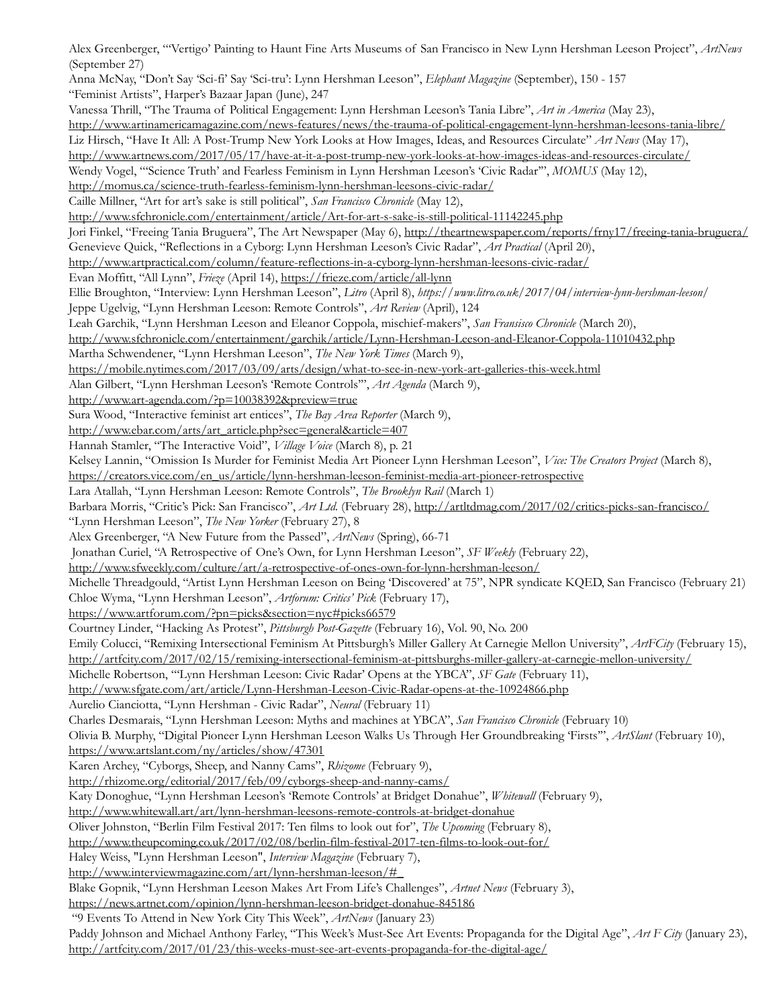Alex Greenberger, "'Vertigo' Painting to Haunt Fine Arts Museums of San Francisco in New Lynn Hershman Leeson Project", *ArtNews*  (September 27) Anna McNay, "Don't Say 'Sci-fi' Say 'Sci-tru': Lynn Hershman Leeson", *Elephant Magazine* (September), 150 - 157 "Feminist Artists", Harper's Bazaar Japan (June), 247 Vanessa Thrill, "The Trauma of Political Engagement: Lynn Hershman Leeson's Tania Libre", *Art in America* (May 23), http://www.artinamericamagazine.com/news-features/news/the-trauma-of-political-engagement-lynn-hershman-leesons-tania-libre/ Liz Hirsch, "Have It All: A Post-Trump New York Looks at How Images, Ideas, and Resources Circulate" *Art News* (May 17), http://www.artnews.com/2017/05/17/have-at-it-a-post-trump-new-york-looks-at-how-images-ideas-and-resources-circulate/ Wendy Vogel, "'Science Truth' and Fearless Feminism in Lynn Hershman Leeson's 'Civic Radar'", *MOMUS* (May 12), http://momus.ca/science-truth-fearless-feminism-lynn-hershman-leesons-civic-radar/ Caille Millner, "Art for art's sake is still political", *San Francisco Chronicle* (May 12), http://www.sfchronicle.com/entertainment/article/Art-for-art-s-sake-is-still-political-11142245.php Jori Finkel, "Freeing Tania Bruguera", The Art Newspaper (May 6), http://theartnewspaper.com/reports/frny17/freeing-tania-bruguera/ Genevieve Quick, "Reflections in a Cyborg: Lynn Hershman Leeson's Civic Radar", *Art Practical* (April 20), http://www.artpractical.com/column/feature-reflections-in-a-cyborg-lynn-hershman-leesons-civic-radar/ Evan Moffitt, "All Lynn", *Frieze* (April 14), https://frieze.com/article/all-lynn Ellie Broughton, "Interview: Lynn Hershman Leeson", *Litro* (April 8), *https://www.litro.co.uk/2017/04/interview-lynn-hershman-leeson/* Jeppe Ugelvig, "Lynn Hershman Leeson: Remote Controls", *Art Review* (April), 124 Leah Garchik, "Lynn Hershman Leeson and Eleanor Coppola, mischief-makers", *San Fransisco Chronicle* (March 20), http://www.sfchronicle.com/entertainment/garchik/article/Lynn-Hershman-Leeson-and-Eleanor-Coppola-11010432.php Martha Schwendener, "Lynn Hershman Leeson", *The New York Times* (March 9), https://mobile.nytimes.com/2017/03/09/arts/design/what-to-see-in-new-york-art-galleries-this-week.html Alan Gilbert, "Lynn Hershman Leeson's 'Remote Controls'", *Art Agenda* (March 9), <http://www.art-agenda.com/?p=10038392&preview=true> Sura Wood, "Interactive feminist art entices", *The Bay Area Reporter* (March 9), [http://www.ebar.com/arts/art\\_article.php?sec=general&article=407](http://www.ebar.com/arts/art_article.php?sec=general&article=407) Hannah Stamler, "The Interactive Void", *Village Voice* (March 8), p. 21 Kelsey Lannin, "Omission Is Murder for Feminist Media Art Pioneer Lynn Hershman Leeson", *Vice: The Creators Project* (March 8), https://creators.vice.com/en\_us/article/lynn-hershman-leeson-feminist-media-art-pioneer-retrospective Lara Atallah, "Lynn Hershman Leeson: Remote Controls", *The Brooklyn Rail* (March 1) Barbara Morris, "Critic's Pick: San Francisco", *Art Ltd.* (February 28), http://artltdmag.com/2017/02/critics-picks-san-francisco/ "Lynn Hershman Leeson", *The New Yorker* (February 27), 8 Alex Greenberger, "A New Future from the Passed", *ArtNews* (Spring), 66-71 Jonathan Curiel, "A Retrospective of One's Own, for Lynn Hershman Leeson", *SF Weekly* (February 22), http://www.sfweekly.com/culture/art/a-retrospective-of-ones-own-for-lynn-hershman-leeson/ Michelle Threadgould, "Artist Lynn Hershman Leeson on Being 'Discovered' at 75", NPR syndicate KQED, San Francisco (February 21) Chloe Wyma, "Lynn Hershman Leeson", *Artforum: Critics' Pick* (February 17), https://www.artforum.com/?pn=picks&section=nyc#picks66579 Courtney Linder, "Hacking As Protest", *Pittsburgh Post-Gazette* (February 16), Vol. 90, No. 200 Emily Colucci, "Remixing Intersectional Feminism At Pittsburgh's Miller Gallery At Carnegie Mellon University", *ArtFCity* (February 15), http://artfcity.com/2017/02/15/remixing-intersectional-feminism-at-pittsburghs-miller-gallery-at-carnegie-mellon-university/ Michelle Robertson, "'Lynn Hershman Leeson: Civic Radar' Opens at the YBCA", *SF Gate* (February 11), http://www.sfgate.com/art/article/Lynn-Hershman-Leeson-Civic-Radar-opens-at-the-10924866.php Aurelio Cianciotta, "Lynn Hershman - Civic Radar", *Neural* (February 11) Charles Desmarais, "Lynn Hershman Leeson: Myths and machines at YBCA", *San Francisco Chronicle* (February 10) Olivia B. Murphy, "Digital Pioneer Lynn Hershman Leeson Walks Us Through Her Groundbreaking 'Firsts'", *ArtSlant* (February 10), https://www.artslant.com/ny/articles/show/47301 Karen Archey, "Cyborgs, Sheep, and Nanny Cams", *Rhizome* (February 9), http://rhizome.org/editorial/2017/feb/09/cyborgs-sheep-and-nanny-cams/ Katy Donoghue, "Lynn Hershman Leeson's 'Remote Controls' at Bridget Donahue", *Whitewall* (February 9), http://www.whitewall.art/art/lynn-hershman-leesons-remote-controls-at-bridget-donahue Oliver Johnston, "Berlin Film Festival 2017: Ten films to look out for", *The Upcoming* (February 8), http://www.theupcoming.co.uk/2017/02/08/berlin-film-festival-2017-ten-films-to-look-out-for/ Haley Weiss, "Lynn Hershman Leeson", *Interview Magazine* (February 7), http://www.interviewmagazine.com/art/lynn-hershman-leeson/#\_ Blake Gopnik, "Lynn Hershman Leeson Makes Art From Life's Challenges", *Artnet News* (February 3), https://news.artnet.com/opinion/lynn-hershman-leeson-bridget-donahue-845186 "9 Events To Attend in New York City This Week", *ArtNews* (January 23) Paddy Johnson and Michael Anthony Farley, "This Week's Must-See Art Events: Propaganda for the Digital Age", *Art F City* (January 23), http://artfcity.com/2017/01/23/this-weeks-must-see-art-events-propaganda-for-the-digital-age/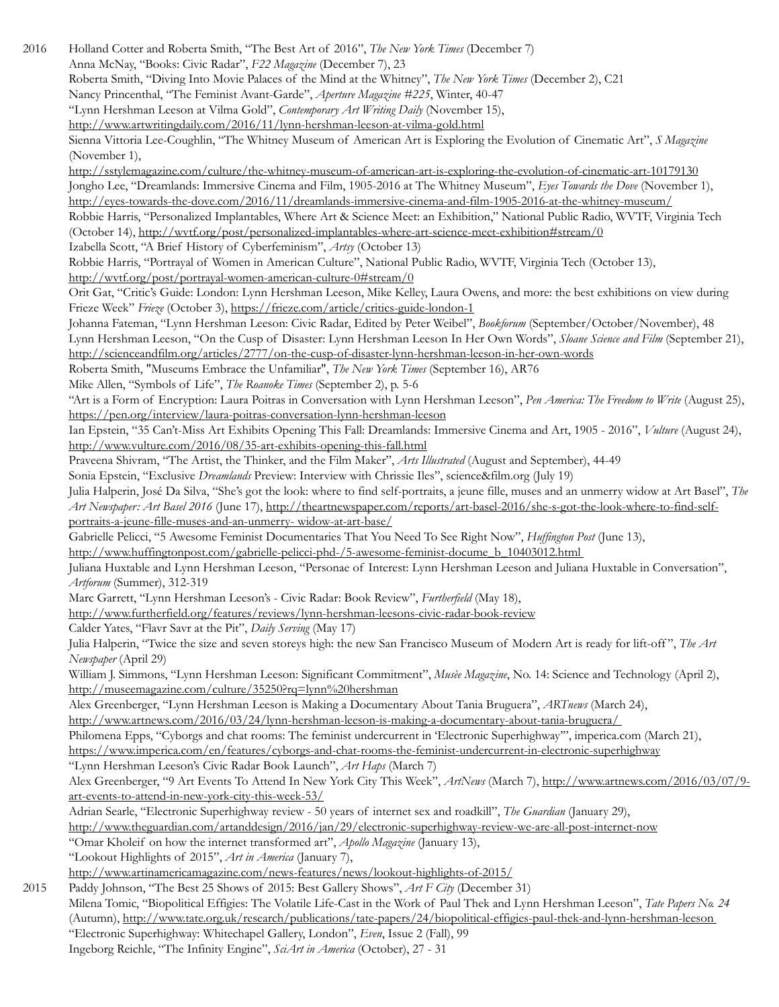2016 Holland Cotter and Roberta Smith, "The Best Art of 2016", *The New York Times* (December 7) Anna McNay, "Books: Civic Radar", *F22 Magazine* (December 7), 23 Roberta Smith, "Diving Into Movie Palaces of the Mind at the Whitney", *The New York Times* (December 2), C21 Nancy Princenthal, "The Feminist Avant-Garde", *Aperture Magazine #225*, Winter, 40-47 "Lynn Hershman Leeson at Vilma Gold", *Contemporary Art Writing Daily* (November 15), <http://www.artwritingdaily.com/2016/11/lynn-hershman-leeson-at-vilma-gold.html> Sienna Vittoria Lee-Coughlin, "The Whitney Museum of American Art is Exploring the Evolution of Cinematic Art", *S Magazine* (November 1), <http://sstylemagazine.com/culture/the-whitney-museum-of-american-art-is-exploring-the-evolution-of-cinematic-art-10179130> Jongho Lee, "Dreamlands: Immersive Cinema and Film, 1905-2016 at The Whitney Museum", *Eyes Towards the Dove* (November 1), <http://eyes-towards-the-dove.com/2016/11/dreamlands-immersive-cinema-and-film-1905-2016-at-the-whitney-museum/> Robbie Harris, "Personalized Implantables, Where Art & Science Meet: an Exhibition," National Public Radio, WVTF, Virginia Tech (October 14), <http://wvtf.org/post/personalized-implantables-where-art-science-meet-exhibition#stream/0> Izabella Scott, "A Brief History of Cyberfeminism", *Artsy* (October 13) Robbie Harris, "Portrayal of Women in American Culture", National Public Radio, WVTF, Virginia Tech (October 13), <http://wvtf.org/post/portrayal-women-american-culture-0#stream/0> Orit Gat, "Critic's Guide: London: Lynn Hershman Leeson, Mike Kelley, Laura Owens, and more: the best exhibitions on view during Frieze Week" *Frieze* (October 3),<https://frieze.com/article/critics-guide-london-1> Johanna Fateman, "Lynn Hershman Leeson: Civic Radar, Edited by Peter Weibel", *Bookforum* (September/October/November), 48 Lynn Hershman Leeson, "On the Cusp of Disaster: Lynn Hershman Leeson In Her Own Words", *Sloane Science and Film* (September 21), <http://scienceandfilm.org/articles/2777/on-the-cusp-of-disaster-lynn-hershman-leeson-in-her-own-words> Roberta Smith, "Museums Embrace the Unfamiliar", *The New York Times* (September 16), AR76 Mike Allen, "Symbols of Life", *The Roanoke Times* (September 2), p. 5-6 "Art is a Form of Encryption: Laura Poitras in Conversation with Lynn Hershman Leeson", *Pen America: The Freedom to Write* (August 25), <https://pen.org/interview/laura-poitras-conversation-lynn-hershman-leeson> Ian Epstein, "35 Can't-Miss Art Exhibits Opening This Fall: Dreamlands: Immersive Cinema and Art, 1905 - 2016", *Vulture* (August 24), <http://www.vulture.com/2016/08/35-art-exhibits-opening-this-fall.html> Praveena Shivram, "The Artist, the Thinker, and the Film Maker", *Arts Illustrated* (August and September), 44-49 Sonia Epstein, "Exclusive *Dreamlands* Preview: Interview with Chrissie Iles", science&film.org (July 19) Julia Halperin, José Da Silva, "She's got the look: where to find self-portraits, a jeune fille, muses and an unmerry widow at Art Basel", *The Art Newspaper: Art Basel 2016* (June 17), [http://theartnewspaper.com/reports/art-basel-2016/she-s-got-the-look-where-to-find-self](http://theartnewspaper.com/reports/art-basel-2016/she-s-got-the-look-where-to-find-self-)portraits-a-jeune-fille-muses-and-an-unmerry- widow-at-art-base/ Gabrielle Pelicci, "5 Awesome Feminist Documentaries That You Need To See Right Now", *Huffington Post* (June 13), http://www.huffingtonpost.com/gabrielle-pelicci-phd-/5-awesome-feminist-docume\_b\_10403012.html Juliana Huxtable and Lynn Hershman Leeson, "Personae of Interest: Lynn Hershman Leeson and Juliana Huxtable in Conversation", *Artforum* (Summer), 312-319 Marc Garrett, "Lynn Hershman Leeson's - Civic Radar: Book Review", *Furtherfield* (May 18), http://www.furtherfield.org/features/reviews/lynn-hershman-leesons-civic-radar-book-review Calder Yates, "Flavr Savr at the Pit", *Daily Serving* (May 17) Julia Halperin, "Twice the size and seven storeys high: the new San Francisco Museum of Modern Art is ready for lift-off ", *The Art Newspaper* (April 29) William J. Simmons, "Lynn Hershman Leeson: Significant Commitment", *Musèe Magazine*, No. 14: Science and Technology (April 2), http://museemagazine.com/culture/35250?rq=lynn%20hershman Alex Greenberger, "Lynn Hershman Leeson is Making a Documentary About Tania Bruguera", *ARTnews* (March 24), http://www.artnews.com/2016/03/24/lynn-hershman-leeson-is-making-a-documentary-about-tania-bruguera/ Philomena Epps, "Cyborgs and chat rooms: The feminist undercurrent in 'Electronic Superhighway'", imperica.com (March 21), https://www.imperica.com/en/features/cyborgs-and-chat-rooms-the-feminist-undercurrent-in-electronic-superhighway "Lynn Hershman Leeson's Civic Radar Book Launch", *Art Haps* (March 7) Alex Greenberger, "9 Art Events To Attend In New York City This Week", *ArtNews* (March 7), [http://www.artnews.com/2016/03/07/9](http://www.artnews.com/2016/03/07/9-) art-events-to-attend-in-new-york-city-this-week-53/ Adrian Searle, "Electronic Superhighway review - 50 years of internet sex and roadkill", *The Guardian* (January 29), http://www.theguardian.com/artanddesign/2016/jan/29/electronic-superhighway-review-we-are-all-post-internet-now "Omar Kholeif on how the internet transformed art", *Apollo Magazine* (January 13), "Lookout Highlights of 2015", *Art in America* (January 7), [http://www.artinamericamagazine.com/news-features/news/lookout-highlights-o](http://www.artinamericamagazine.com/news-features/news/lookout-highlights-)f-2015/ 2015 Paddy Johnson, "The Best 25 Shows of 2015: Best Gallery Shows", *Art F City* (December 31) Milena Tomic, "Biopolitical Effigies: The Volatile Life-Cast in the Work of Paul Thek and Lynn Hershman Leeson", *Tate Papers No. 24*  (Autumn), http://www.tate.org.uk/research/publications/tate-papers/24/biopolitical-effigies-paul-thek-and-lynn-hershman-leeson

"Electronic Superhighway: Whitechapel Gallery, London", *Even*, Issue 2 (Fall), 99 Ingeborg Reichle, "The Infinity Engine", *SciArt in America* (October), 27 - 31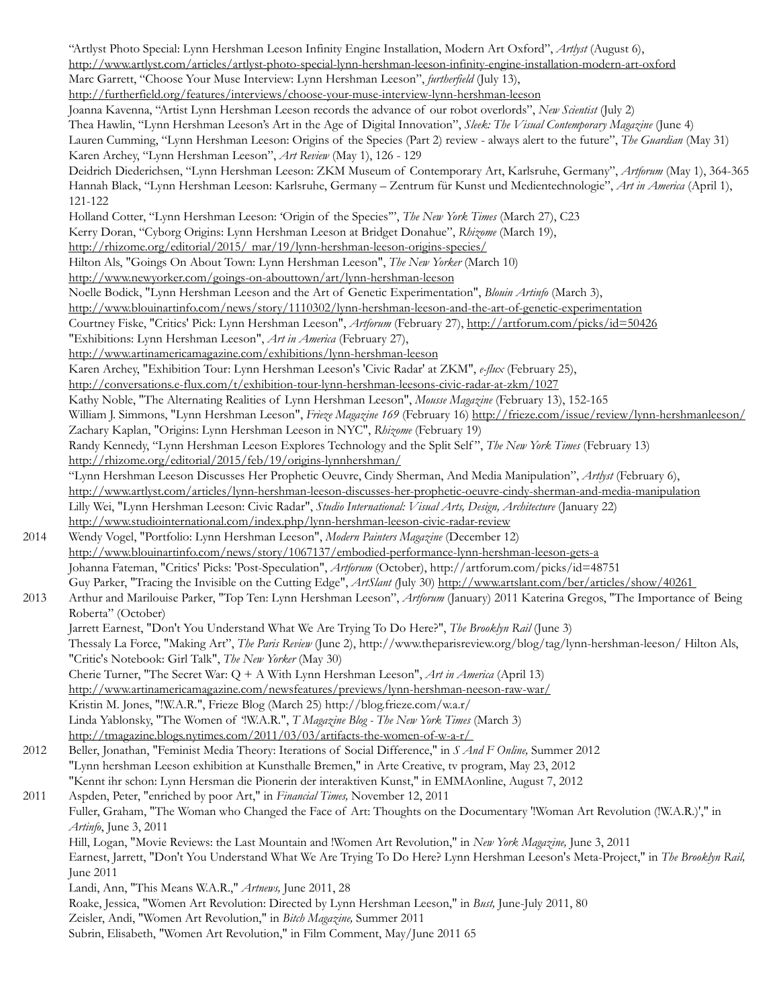"Artlyst Photo Special: Lynn Hershman Leeson Infinity Engine Installation, Modern Art Oxford", *Artlyst* (August 6), http://www.artlyst.com/articles/artlyst-photo-special-lynn-hershman-leeson-infinity-engine-installation-modern-art-oxford Marc Garrett, "Choose Your Muse Interview: Lynn Hershman Leeson", *furtherfield* (July 13), http://furtherfield.org/features/interviews/choose-your-muse-interview-lynn-hershman-leeson Joanna Kavenna, "Artist Lynn Hershman Leeson records the advance of our robot overlords", *New Scientist* (July 2) Thea Hawlin, "Lynn Hershman Leeson's Art in the Age of Digital Innovation", *Sleek: The Visual Contemporary Magazine* (June 4) Lauren Cumming, "Lynn Hershman Leeson: Origins of the Species (Part 2) review - always alert to the future", *The Guardian* (May 31) Karen Archey, "Lynn Hershman Leeson", *Art Review* (May 1), 126 - 129 Deidrich Diederichsen, "Lynn Hershman Leeson: ZKM Museum of Contemporary Art, Karlsruhe, Germany", *Artforum* (May 1), 364-365 Hannah Black, "Lynn Hershman Leeson: Karlsruhe, Germany – Zentrum für Kunst und Medientechnologie", *Art in America* (April 1), 121-122 Holland Cotter, "Lynn Hershman Leeson: 'Origin of the Species'", *The New York Times* (March 27), C23 Kerry Doran, "Cyborg Origins: Lynn Hershman Leeson at Bridget Donahue", *Rhizome* (March 19), <http://rhizome.org/editorial/2015/> mar/19/lynn-hershman-leeson-origins-species/ Hilton Als, "Goings On About Town: Lynn Hershman Leeson", *The New Yorker* (March 10) http://www.newyorker.com/goings-on-abouttown/art/lynn-hershman-leeson Noelle Bodick, "Lynn Hershman Leeson and the Art of Genetic Experimentation", *Blouin Artinfo* (March 3), http://www.blouinartinfo.com/news/story/1110302/lynn-hershman-leeson-and-the-art-of-genetic-experimentation Courtney Fiske, "Critics' Pick: Lynn Hershman Leeson", *Artforum* (February 27), http://artforum.com/picks/id=50426 "Exhibitions: Lynn Hershman Leeson", *Art in America* (February 27), http://www.artinamericamagazine.com/exhibitions/lynn-hershman-leeson Karen Archey, "Exhibition Tour: Lynn Hershman Leeson's 'Civic Radar' at ZKM", *e-flux* (February 25), http://conversations.e-flux.com/t/exhibition-tour-lynn-hershman-leesons-civic-radar-at-zkm/1027 Kathy Noble, "The Alternating Realities of Lynn Hershman Leeson", *Mousse Magazine* (February 13), 152-165 William J. Simmons, "Lynn Hershman Leeson", *Frieze Magazine 169* (February 16)<http://frieze.com/issue/review/lynn-hershmanleeson/> Zachary Kaplan, "Origins: Lynn Hershman Leeson in NYC", *Rhizome* (February 19) Randy Kennedy, "Lynn Hershman Leeson Explores Technology and the Split Self ", *The New York Times* (February 13) http://rhizome.org/editorial/2015/feb/19/origins-lynnhershman/ "Lynn Hershman Leeson Discusses Her Prophetic Oeuvre, Cindy Sherman, And Media Manipulation", *Artlyst* (February 6), http://www.artlyst.com/articles/lynn-hershman-leeson-discusses-her-prophetic-oeuvre-cindy-sherman-and-media-manipulation Lilly Wei, "Lynn Hershman Leeson: Civic Radar", *Studio International: Visual Arts, Design, Architecture* (January 22) http://www.studiointernational.com/index.php/lynn-hershman-leeson-civic-radar-review 2014 Wendy Vogel, "Portfolio: Lynn Hershman Leeson", *Modern Painters Magazine* (December 12) http://www.blouinartinfo.com/news/story/1067137/embodied-performance-lynn-hershman-leeson-gets-a Johanna Fateman, "Critics' Picks: 'Post-Speculation", *Artforum* (October), http://artforum.com/picks/id=48751 Guy Parker, "Tracing the Invisible on the Cutting Edge", *ArtSlant (*July 30) http://www.artslant.com/ber/articles/show/40261 2013 Arthur and Marilouise Parker, "Top Ten: Lynn Hershman Leeson", *Artforum* (January) 2011 Katerina Gregos, "The Importance of Being Roberta" (October) Jarrett Earnest, "Don't You Understand What We Are Trying To Do Here?", *The Brooklyn Rail* (June 3) Thessaly La Force, "Making Art", *The Paris Review* (June 2), http://www.theparisreview.org/blog/tag/lynn-hershman-leeson/ Hilton Als, "Critic's Notebook: Girl Talk", *The New Yorker* (May 30) Cherie Turner, "The Secret War: Q + A With Lynn Hershman Leeson", *Art in America* (April 13) http://www.artinamericamagazine.com/newsfeatures/previews/lynn-hershman-neeson-raw-war/ Kristin M. Jones, "!W.A.R.", Frieze Blog (March 25) http://blog.frieze.com/w.a.r/ Linda Yablonsky, "The Women of '!W.A.R.", *T Magazine Blog - The New York Times* (March 3) http://tmagazine.blogs.nytimes.com/2011/03/03/artifacts-the-women-of-w-a-r/ 2012 Beller, Jonathan, "Feminist Media Theory: Iterations of Social Difference," in *S And F Online,* Summer 2012 "Lynn hershman Leeson exhibition at Kunsthalle Bremen," in Arte Creative, tv program, May 23, 2012 "Kennt ihr schon: Lynn Hersman die Pionerin der interaktiven Kunst," in EMMAonline, August 7, 2012 2011 Aspden, Peter, "enriched by poor Art," in *Financial Times,* November 12, 2011 Fuller, Graham, "The Woman who Changed the Face of Art: Thoughts on the Documentary '!Woman Art Revolution (!W.A.R.)'," in *Artinfo*, June 3, 2011 Hill, Logan, "Movie Reviews: the Last Mountain and !Women Art Revolution," in *New York Magazine,* June 3, 2011 Earnest, Jarrett, "Don't You Understand What We Are Trying To Do Here? Lynn Hershman Leeson's Meta-Project," in *The Brooklyn Rail,*  June 2011 Landi, Ann, "This Means W.A.R.," *Artnews,* June 2011, 28 Roake, Jessica, "Women Art Revolution: Directed by Lynn Hershman Leeson," in *Bust,* June-July 2011, 80 Zeisler, Andi, "Women Art Revolution," in *Bitch Magazine,* Summer 2011 Subrin, Elisabeth, "Women Art Revolution," in Film Comment, May/June 2011 65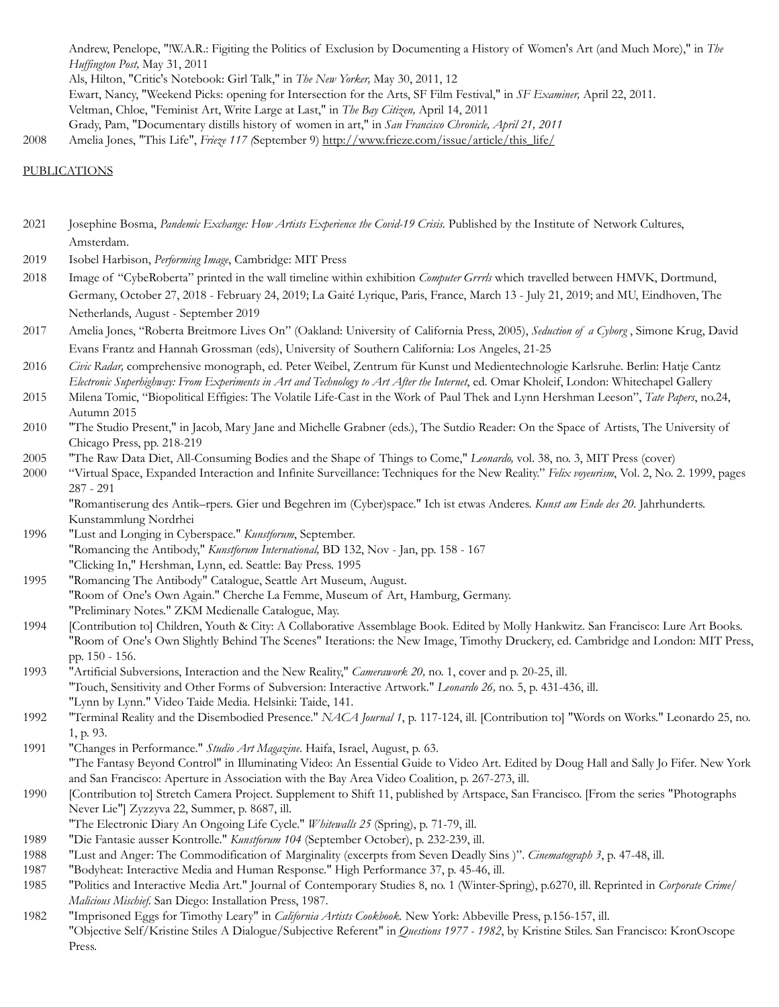Andrew, Penelope, "!W.A.R.: Figiting the Politics of Exclusion by Documenting a History of Women's Art (and Much More)," in *The Huffington Post,* May 31, 2011 Als, Hilton, "Critic's Notebook: Girl Talk," in *The New Yorker,* May 30, 2011, 12 Ewart, Nancy, "Weekend Picks: opening for Intersection for the Arts, SF Film Festival," in *SF Examiner,* April 22, 2011. Veltman, Chloe, "Feminist Art, Write Large at Last," in *The Bay Citizen,* April 14, 2011 Grady, Pam, "Documentary distills history of women in art," in *San Francisco Chronicle, April 21, 2011* 2008 Amelia Jones, "This Life", *Frieze 117 (*September 9) [http://www.frieze.com/issue/article/this\\_life/](http://www.frieze.com/issue/article/this_life/)

#### PUBLICATIONS

- 2021 Josephine Bosma, *Pandemic Exchange: How Artists Experience the Covid-19 Crisis.* Published by the Institute of Network Cultures, Amsterdam.
- 2019 Isobel Harbison, *Performing Image*, Cambridge: MIT Press
- 2018 Image of "CybeRoberta" printed in the wall timeline within exhibition *Computer Grrrls* which travelled between HMVK, Dortmund, Germany, October 27, 2018 - February 24, 2019; La Gaité Lyrique, Paris, France, March 13 - July 21, 2019; and MU, Eindhoven, The Netherlands, August - September 2019
- 2017 Amelia Jones, "Roberta Breitmore Lives On" (Oakland: University of California Press, 2005), *Seduction of a Cyborg* , Simone Krug, David Evans Frantz and Hannah Grossman (eds), University of Southern California: Los Angeles, 21-25
- 2016 *Civic Radar,* comprehensive monograph, ed. Peter Weibel, Zentrum für Kunst und Medientechnologie Karlsruhe. Berlin: Hatje Cantz *Electronic Superhighway: From Experiments in Art and Technology to Art After the Internet*, ed. Omar Kholeif, London: Whitechapel Gallery
- 2015 Milena Tomic, "Biopolitical Effigies: The Volatile Life-Cast in the Work of Paul Thek and Lynn Hershman Leeson", *Tate Papers*, no.24, Autumn 2015
- 2010 "The Studio Present," in Jacob, Mary Jane and Michelle Grabner (eds.), The Sutdio Reader: On the Space of Artists, The University of Chicago Press, pp. 218-219
- 2005 "The Raw Data Diet, All-Consuming Bodies and the Shape of Things to Come," *Leonardo,* vol. 38, no. 3, MIT Press (cover)
- 2000 "Virtual Space, Expanded Interaction and Infinite Surveillance: Techniques for the New Reality." *Felix voyeurism*, Vol. 2, No. 2. 1999, pages 287 - 291

"Romantiserung des Antik–rpers. Gier und Begehren im (Cyber)space." Ich ist etwas Anderes. *Kunst am Ende des 20.* Jahrhunderts. Kunstammlung Nordrhei

- 1996 "Lust and Longing in Cyberspace." *Kunstforum*, September. "Romancing the Antibody," *Kunstforum International,* BD 132, Nov - Jan, pp. 158 - 167 "Clicking In," Hershman, Lynn, ed. Seattle: Bay Press. 1995
- 1995 "Romancing The Antibody" Catalogue, Seattle Art Museum, August. "Room of One's Own Again." Cherche La Femme, Museum of Art, Hamburg, Germany. "Preliminary Notes." ZKM Medienalle Catalogue, May.
- 1994 [Contribution to] Children, Youth & City: A Collaborative Assemblage Book. Edited by Molly Hankwitz. San Francisco: Lure Art Books. "Room of One's Own Slightly Behind The Scenes" Iterations: the New Image, Timothy Druckery, ed. Cambridge and London: MIT Press, pp. 150 - 156.
- 1993 "Artificial Subversions, Interaction and the New Reality," *Camerawork 20,* no. 1, cover and p. 20-25, ill. "Touch, Sensitivity and Other Forms of Subversion: Interactive Artwork." *Leonardo 26,* no. 5, p. 431-436, ill. "Lynn by Lynn." Video Taide Media. Helsinki: Taide, 141.
- 1992 "Terminal Reality and the Disembodied Presence." *NACA Journal 1*, p. 117-124, ill. [Contribution to] "Words on Works." Leonardo 25, no. 1, p. 93.
- 1991 "Changes in Performance." *Studio Art Magazine*. Haifa, Israel, August, p. 63.
- "The Fantasy Beyond Control" in Illuminating Video: An Essential Guide to Video Art. Edited by Doug Hall and Sally Jo Fifer. New York and San Francisco: Aperture in Association with the Bay Area Video Coalition, p. 267-273, ill.
- 1990 [Contribution to] Stretch Camera Project. Supplement to Shift 11, published by Artspace, San Francisco. [From the series "Photographs Never Lie"] Zyzzyva 22, Summer, p. 8687, ill.
- "The Electronic Diary An Ongoing Life Cycle." *Whitewalls 25* (Spring), p. 71-79, ill.
- 1989 "Die Fantasie ausser Kontrolle." *Kunstforum 104* (September October), p. 232-239, ill.
- 1988 "Lust and Anger: The Commodification of Marginality (excerpts from Seven Deadly Sins )". *Cinematograph 3*, p. 47-48, ill.
- 1987 "Bodyheat: Interactive Media and Human Response." High Performance 37, p. 45-46, ill.
- 1985 "Politics and Interactive Media Art." Journal of Contemporary Studies 8, no. 1 (Winter-Spring), p.6270, ill. Reprinted in *Corporate Crime/ Malicious Mischief*. San Diego: Installation Press, 1987.
- 1982 "Imprisoned Eggs for Timothy Leary" in *California Artists Cookbook.* New York: Abbeville Press, p.156-157, ill. "Objective Self/Kristine Stiles A Dialogue/Subjective Referent" in *Questions 1977 - 1982*, by Kristine Stiles. San Francisco: KronOscope Press.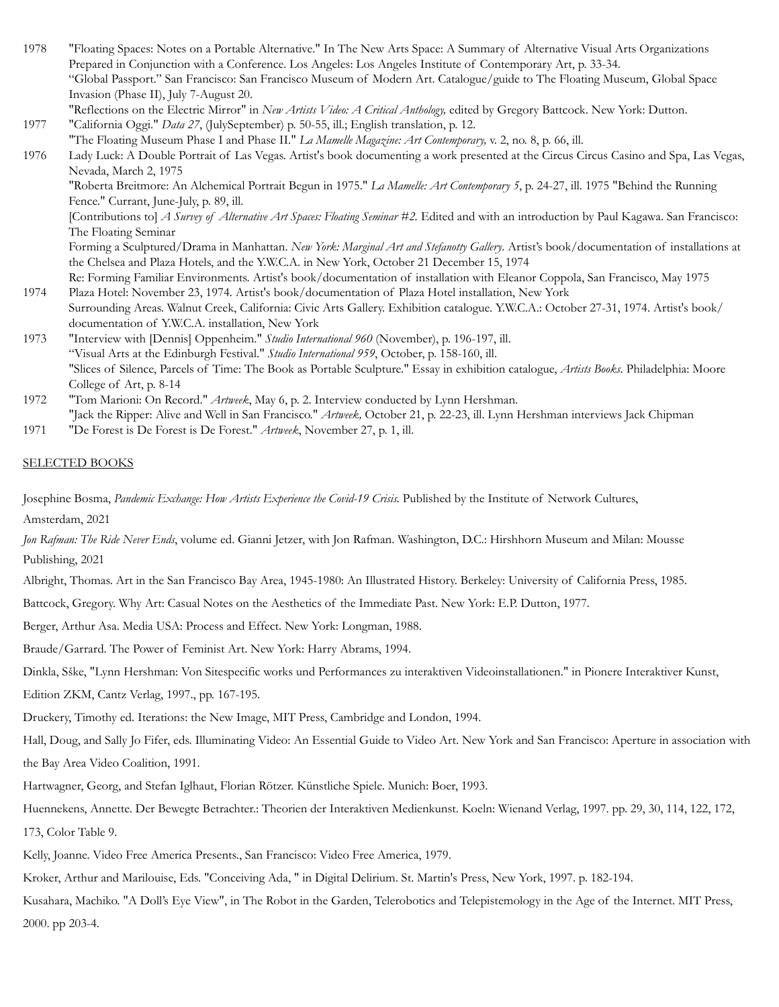| 1978 | "Floating Spaces: Notes on a Portable Alternative." In The New Arts Space: A Summary of Alternative Visual Arts Organizations              |
|------|--------------------------------------------------------------------------------------------------------------------------------------------|
|      | Prepared in Conjunction with a Conference. Los Angeles: Los Angeles Institute of Contemporary Art, p. 33-34.                               |
|      | "Global Passport." San Francisco: San Francisco Museum of Modern Art. Catalogue/guide to The Floating Museum, Global Space                 |
|      | Invasion (Phase II), July 7-August 20.                                                                                                     |
|      | "Reflections on the Electric Mirror" in New Artists Video: A Critical Anthology, edited by Gregory Battcock. New York: Dutton.             |
| 1977 | "California Oggi." Data 27, (JulySeptember) p. 50-55, ill.; English translation, p. 12.                                                    |
|      | "The Floating Museum Phase I and Phase II." La Mamelle Magazine: Art Contemporary, v. 2, no. 8, p. 66, ill.                                |
| 1976 | Lady Luck: A Double Portrait of Las Vegas. Artist's book documenting a work presented at the Circus Circus Casino and Spa, Las Vegas,      |
|      | Nevada, March 2, 1975                                                                                                                      |
|      | "Roberta Breitmore: An Alchemical Portrait Begun in 1975." La Mamelle: Art Contemporary 5, p. 24-27, ill. 1975 "Behind the Running         |
|      | Fence." Currant, June-July, p. 89, ill.                                                                                                    |
|      | [Contributions to] A Survey of Alternative Art Spaces: Floating Seminar #2. Edited and with an introduction by Paul Kagawa. San Francisco: |
|      | The Floating Seminar                                                                                                                       |

Forming a Sculptured/Drama in Manhattan. *New York: Marginal Art and Stefanotty Gallery*. Artist's book/documentation of installations at the Chelsea and Plaza Hotels, and the Y.W.C.A. in New York, October 21 December 15, 1974

- Re: Forming Familiar Environments. Artist's book/documentation of installation with Eleanor Coppola, San Francisco, May 1975 1974 Plaza Hotel: November 23, 1974. Artist's book/documentation of Plaza Hotel installation, New York
- Surrounding Areas. Walnut Creek, California: Civic Arts Gallery. Exhibition catalogue. Y.W.C.A.: October 27-31, 1974. Artist's book/ documentation of Y.W.C.A. installation, New York
- 1973 "Interview with [Dennis] Oppenheim." *Studio International 960* (November), p. 196-197, ill. "Visual Arts at the Edinburgh Festival." *Studio International 959*, October, p. 158-160, ill. "Slices of Silence, Parcels of Time: The Book as Portable Sculpture." Essay in exhibition catalogue, *Artists Books*. Philadelphia: Moore College of Art, p. 8-14
- 1972 "Tom Marioni: On Record." *Artweek*, May 6, p. 2. Interview conducted by Lynn Hershman. "Jack the Ripper: Alive and Well in San Francisco." *Artweek,* October 21, p. 22-23, ill. Lynn Hershman interviews Jack Chipman
- 1971 "De Forest is De Forest is De Forest." *Artweek*, November 27, p. 1, ill.

#### SELECTED BOOKS

Josephine Bosma, *Pandemic Exchange: How Artists Experience the Covid-19 Crisis.* Published by the Institute of Network Cultures,

Amsterdam, 2021

*Jon Rafman: The Ride Never Ends*, volume ed. Gianni Jetzer, with Jon Rafman. Washington, D.C.: Hirshhorn Museum and Milan: Mousse Publishing, 2021

Albright, Thomas. Art in the San Francisco Bay Area, 1945-1980: An Illustrated History. Berkeley: University of California Press, 1985.

Battcock, Gregory. Why Art: Casual Notes on the Aesthetics of the Immediate Past. New York: E.P. Dutton, 1977.

Berger, Arthur Asa. Media USA: Process and Effect. New York: Longman, 1988.

Braude/Garrard. The Power of Feminist Art. New York: Harry Abrams, 1994.

Dinkla, Sške, "Lynn Hershman: Von Sitespecific works und Performances zu interaktiven Videoinstallationen." in Pionere Interaktiver Kunst,

Edition ZKM, Cantz Verlag, 1997., pp. 167-195.

Druckery, Timothy ed. Iterations: the New Image, MIT Press, Cambridge and London, 1994.

Hall, Doug, and Sally Jo Fifer, eds. Illuminating Video: An Essential Guide to Video Art. New York and San Francisco: Aperture in association with the Bay Area Video Coalition, 1991.

Hartwagner, Georg, and Stefan Iglhaut, Florian Rötzer. Künstliche Spiele. Munich: Boer, 1993.

Huennekens, Annette. Der Bewegte Betrachter.: Theorien der Interaktiven Medienkunst. Koeln: Wienand Verlag, 1997. pp. 29, 30, 114, 122, 172, 173, Color Table 9.

Kelly, Joanne. Video Free America Presents., San Francisco: Video Free America, 1979.

Kroker, Arthur and Marilouise, Eds. "Conceiving Ada, " in Digital Delirium. St. Martin's Press, New York, 1997. p. 182-194.

Kusahara, Machiko. "A Doll's Eye View", in The Robot in the Garden, Telerobotics and Telepistemology in the Age of the Internet. MIT Press, 2000. pp 203-4.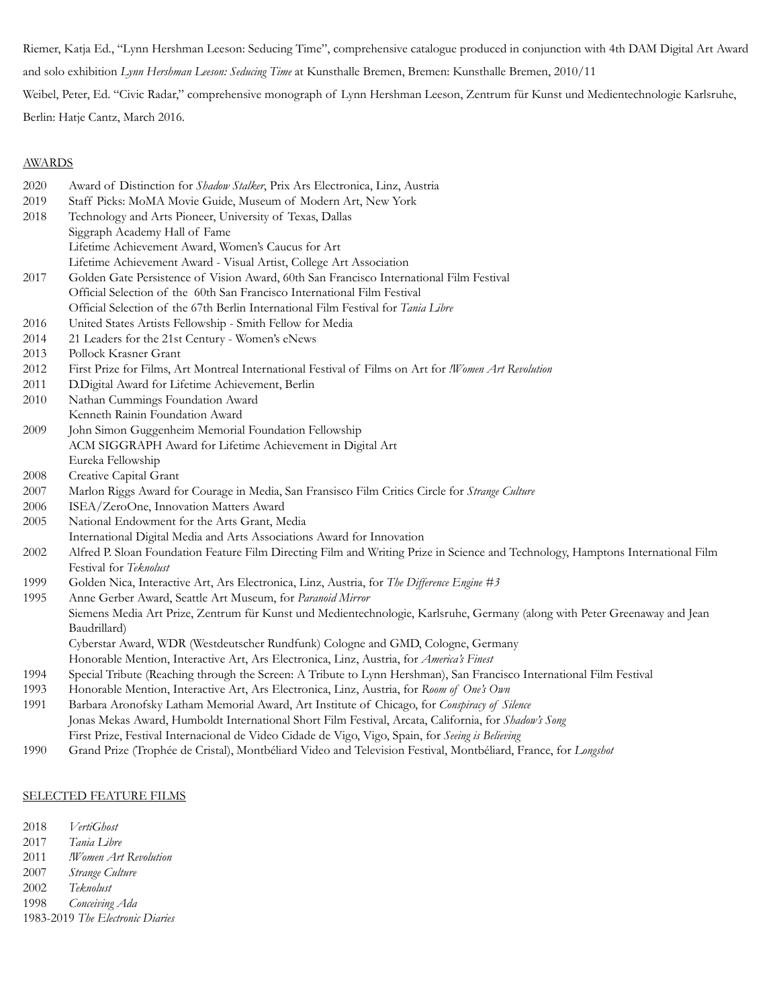Riemer, Katja Ed., "Lynn Hershman Leeson: Seducing Time", comprehensive catalogue produced in conjunction with 4th DAM Digital Art Award and solo exhibition *Lynn Hershman Leeson: Seducing Time* at Kunsthalle Bremen, Bremen: Kunsthalle Bremen, 2010/11 Weibel, Peter, Ed. "Civic Radar," comprehensive monograph of Lynn Hershman Leeson, Zentrum für Kunst und Medientechnologie Karlsruhe,

Berlin: Hatje Cantz, March 2016.

## **AWARDS**

| 2020 | Award of Distinction for Shadow Stalker, Prix Ars Electronica, Linz, Austria                                                    |
|------|---------------------------------------------------------------------------------------------------------------------------------|
| 2019 | Staff Picks: MoMA Movie Guide, Museum of Modern Art, New York                                                                   |
| 2018 | Technology and Arts Pioneer, University of Texas, Dallas                                                                        |
|      | Siggraph Academy Hall of Fame                                                                                                   |
|      | Lifetime Achievement Award, Women's Caucus for Art                                                                              |
|      | Lifetime Achievement Award - Visual Artist, College Art Association                                                             |
| 2017 | Golden Gate Persistence of Vision Award, 60th San Francisco International Film Festival                                         |
|      | Official Selection of the 60th San Francisco International Film Festival                                                        |
|      | Official Selection of the 67th Berlin International Film Festival for Tania Libre                                               |
| 2016 | United States Artists Fellowship - Smith Fellow for Media                                                                       |
| 2014 | 21 Leaders for the 21st Century - Women's eNews                                                                                 |
| 2013 | Pollock Krasner Grant                                                                                                           |
| 2012 | First Prize for Films, Art Montreal International Festival of Films on Art for !Women Art Revolution                            |
| 2011 | D.Digital Award for Lifetime Achievement, Berlin                                                                                |
| 2010 | Nathan Cummings Foundation Award                                                                                                |
|      | Kenneth Rainin Foundation Award                                                                                                 |
| 2009 | John Simon Guggenheim Memorial Foundation Fellowship                                                                            |
|      | ACM SIGGRAPH Award for Lifetime Achievement in Digital Art                                                                      |
|      | Eureka Fellowship                                                                                                               |
| 2008 | Creative Capital Grant                                                                                                          |
| 2007 | Marlon Riggs Award for Courage in Media, San Fransisco Film Critics Circle for Strange Culture                                  |
| 2006 | ISEA/ZeroOne, Innovation Matters Award                                                                                          |
| 2005 | National Endowment for the Arts Grant, Media                                                                                    |
|      | International Digital Media and Arts Associations Award for Innovation                                                          |
| 2002 | Alfred P. Sloan Foundation Feature Film Directing Film and Writing Prize in Science and Technology, Hamptons International Film |
|      | Festival for Teknolust                                                                                                          |
| 1999 | Golden Nica, Interactive Art, Ars Electronica, Linz, Austria, for The Difference Engine #3                                      |
| 1995 | Anne Gerber Award, Seattle Art Museum, for Paranoid Mirror                                                                      |
|      | Siemens Media Art Prize, Zentrum für Kunst und Medientechnologie, Karlsruhe, Germany (along with Peter Greenaway and Jean       |
|      | Baudrillard)                                                                                                                    |
|      | Cyberstar Award, WDR (Westdeutscher Rundfunk) Cologne and GMD, Cologne, Germany                                                 |
|      | Honorable Mention, Interactive Art, Ars Electronica, Linz, Austria, for America's Finest                                        |
| 1994 | Special Tribute (Reaching through the Screen: A Tribute to Lynn Hershman), San Francisco International Film Festival            |
| 1993 | Honorable Mention, Interactive Art, Ars Electronica, Linz, Austria, for Room of One's Own                                       |
| 1991 | Barbara Aronofsky Latham Memorial Award, Art Institute of Chicago, for Conspiracy of Silence                                    |
|      | Jonas Mekas Award, Humboldt International Short Film Festival, Arcata, California, for Shadon's Song                            |
|      | First Prize, Festival Internacional de Video Cidade de Vigo, Vigo, Spain, for Seeing is Believing                               |
| 1990 | Grand Prize (Trophée de Cristal), Montbéliard Video and Television Festival, Montbéliard, France, for Longshot                  |

## SELECTED FEATURE FILMS

2018 *VertiGhost*

- 2017 *Tania Libre*
- 2011 *!Women Art Revolution*
- 2007 *Strange Culture*
- 2002 *Teknolust*
- 1998 *Conceiving Ada*

1983-2019 *The Electronic Diaries*